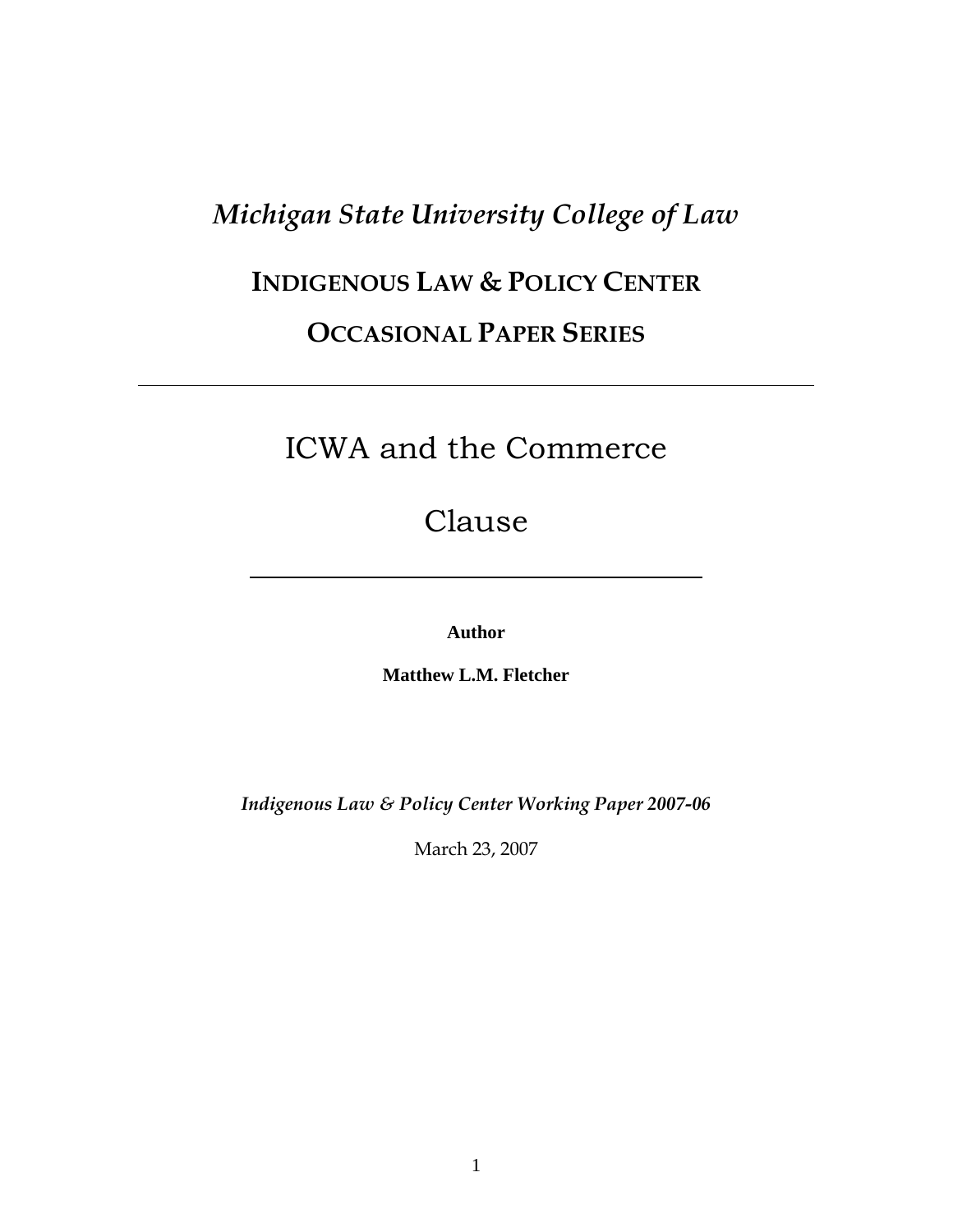# *Michigan State University College of Law*

# **INDIGENOUS LAW & POLICY CENTER**

## **OCCASIONAL PAPER SERIES**

# ICWA and the Commerce

Clause

**Author** 

**Matthew L.M. Fletcher** 

*Indigenous Law & Policy Center Working Paper 2007-06*

March 23, 2007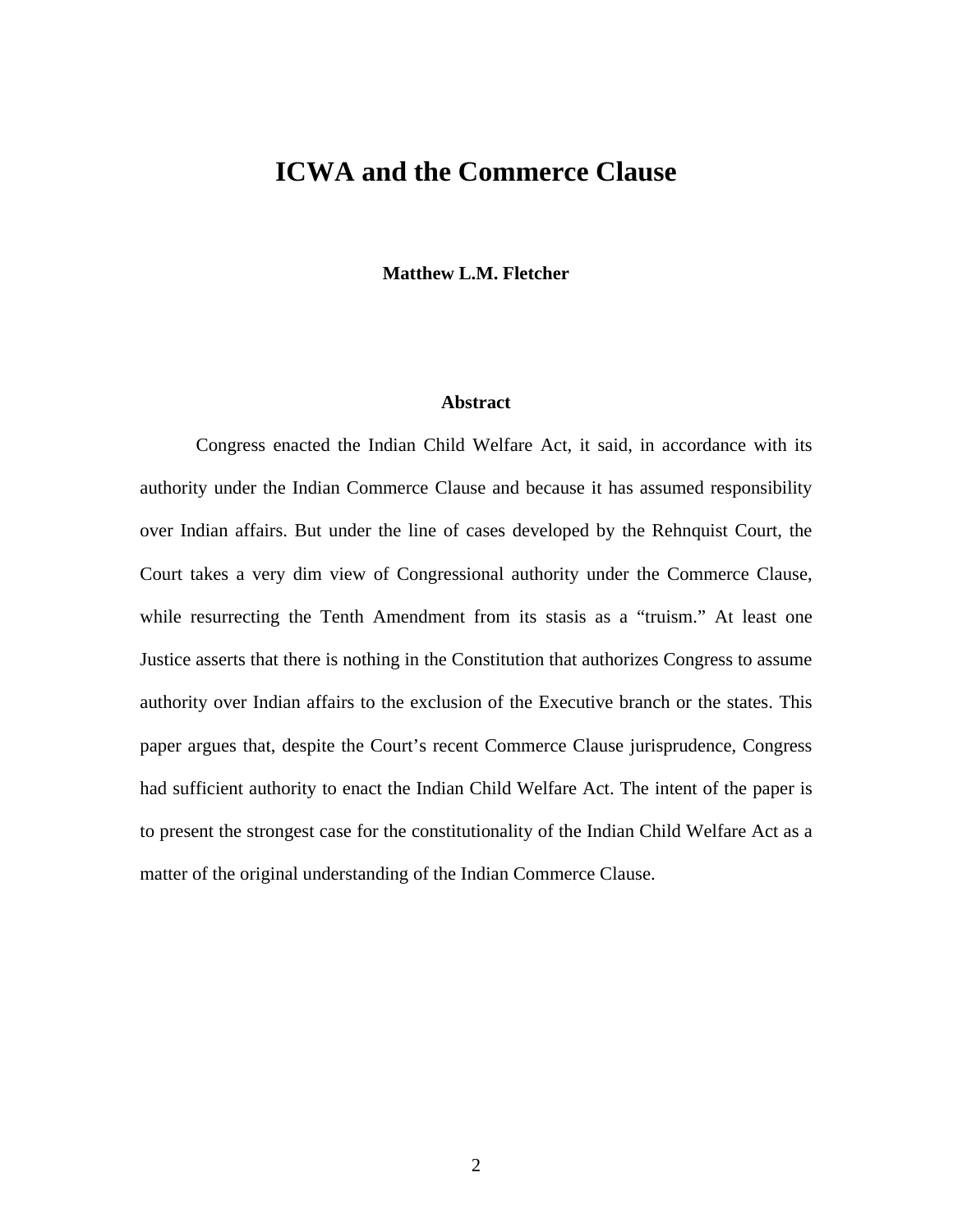### **ICWA and the Commerce Clause**

**Matthew L.M. Fletcher** 

#### **Abstract**

 Congress enacted the Indian Child Welfare Act, it said, in accordance with its authority under the Indian Commerce Clause and because it has assumed responsibility over Indian affairs. But under the line of cases developed by the Rehnquist Court, the Court takes a very dim view of Congressional authority under the Commerce Clause, while resurrecting the Tenth Amendment from its stasis as a "truism." At least one Justice asserts that there is nothing in the Constitution that authorizes Congress to assume authority over Indian affairs to the exclusion of the Executive branch or the states. This paper argues that, despite the Court's recent Commerce Clause jurisprudence, Congress had sufficient authority to enact the Indian Child Welfare Act. The intent of the paper is to present the strongest case for the constitutionality of the Indian Child Welfare Act as a matter of the original understanding of the Indian Commerce Clause.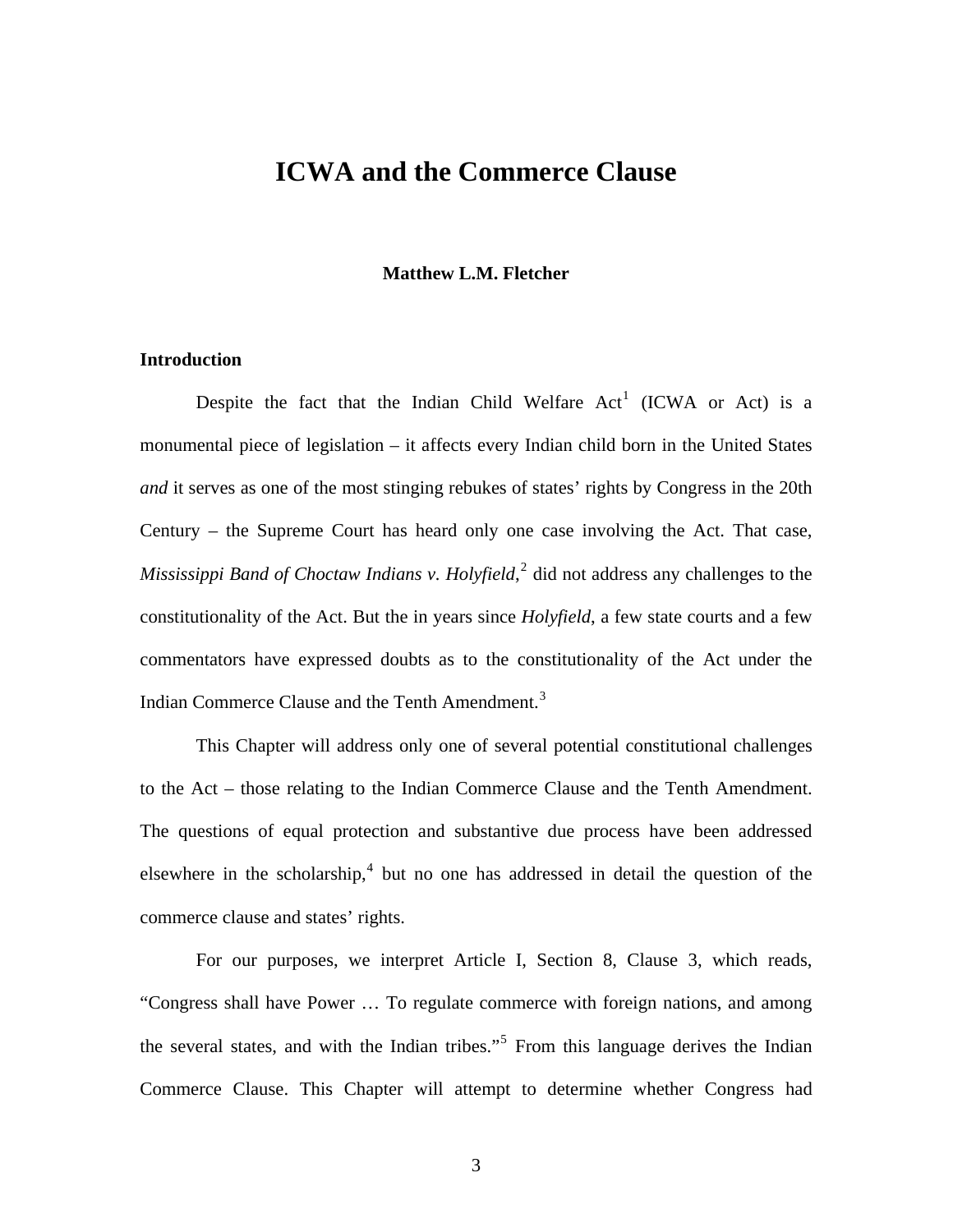### **ICWA and the Commerce Clause**

#### **Matthew L.M. Fletcher**

#### **Introduction**

Despite the fact that the Indian Child Welfare  $Act<sup>1</sup>$  $Act<sup>1</sup>$  $Act<sup>1</sup>$  (ICWA or Act) is a monumental piece of legislation – it affects every Indian child born in the United States *and* it serves as one of the most stinging rebukes of states' rights by Congress in the 20th Century – the Supreme Court has heard only one case involving the Act. That case, Mississippi Band of Choctaw Indians v. Holyfield,<sup>[2](#page-29-1)</sup> did not address any challenges to the constitutionality of the Act. But the in years since *Holyfield*, a few state courts and a few commentators have expressed doubts as to the constitutionality of the Act under the Indian Commerce Clause and the Tenth Amendment.<sup>[3](#page-29-1)</sup>

 This Chapter will address only one of several potential constitutional challenges to the Act – those relating to the Indian Commerce Clause and the Tenth Amendment. The questions of equal protection and substantive due process have been addressed elsewhere in the scholarship, $4$  but no one has addressed in detail the question of the commerce clause and states' rights.

 For our purposes, we interpret Article I, Section 8, Clause 3, which reads, "Congress shall have Power … To regulate commerce with foreign nations, and among the several states, and with the Indian tribes."<sup>[5](#page-29-1)</sup> From this language derives the Indian Commerce Clause. This Chapter will attempt to determine whether Congress had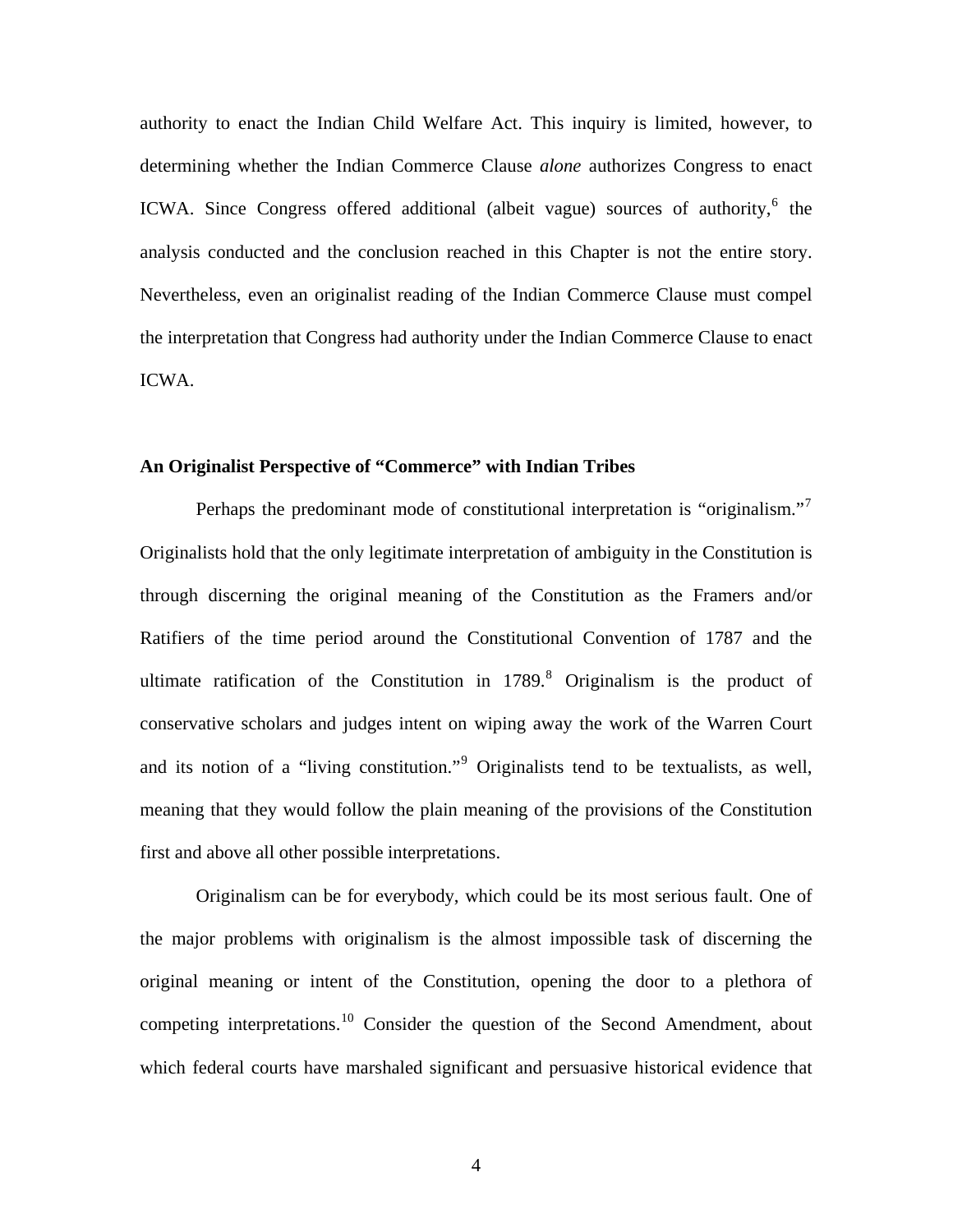authority to enact the Indian Child Welfare Act. This inquiry is limited, however, to determining whether the Indian Commerce Clause *alone* authorizes Congress to enact ICWA. Since Congress offered additional (albeit vague) sources of authority,<sup>[6](#page-29-1)</sup> the analysis conducted and the conclusion reached in this Chapter is not the entire story. Nevertheless, even an originalist reading of the Indian Commerce Clause must compel the interpretation that Congress had authority under the Indian Commerce Clause to enact ICWA.

#### **An Originalist Perspective of "Commerce" with Indian Tribes**

Perhaps the predominant mode of constitutional interpretation is "originalism."<sup>[7](#page-29-1)</sup> Originalists hold that the only legitimate interpretation of ambiguity in the Constitution is through discerning the original meaning of the Constitution as the Framers and/or Ratifiers of the time period around the Constitutional Convention of 1787 and the ultimate ratification of the Constitution in  $1789$  $1789$  $1789$ .<sup>8</sup> Originalism is the product of conservative scholars and judges intent on wiping away the work of the Warren Court and its notion of a "living constitution."<sup>[9](#page-29-1)</sup> Originalists tend to be textualists, as well, meaning that they would follow the plain meaning of the provisions of the Constitution first and above all other possible interpretations.

 Originalism can be for everybody, which could be its most serious fault. One of the major problems with originalism is the almost impossible task of discerning the original meaning or intent of the Constitution, opening the door to a plethora of competing interpretations.<sup>[10](#page-29-1)</sup> Consider the question of the Second Amendment, about which federal courts have marshaled significant and persuasive historical evidence that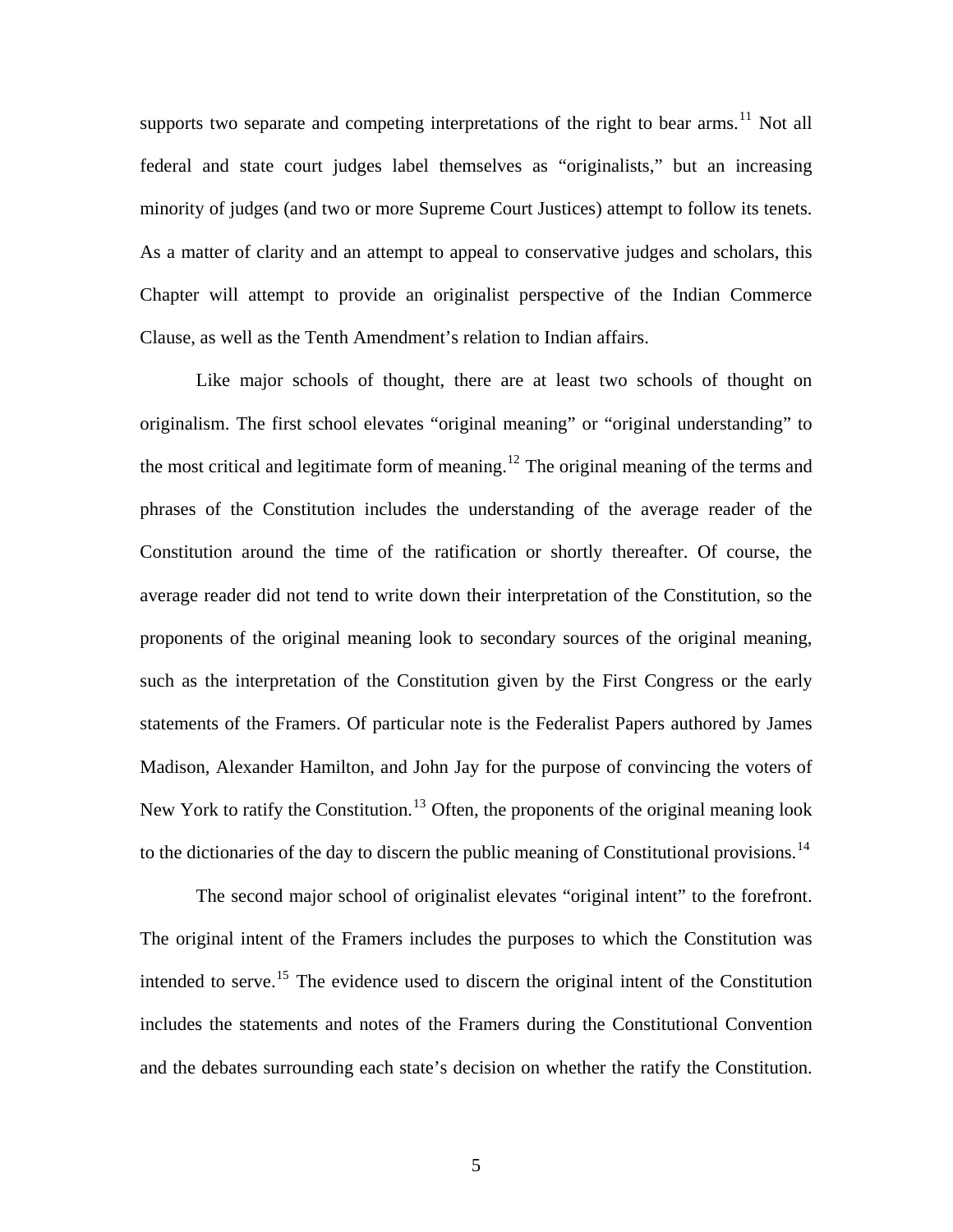supports two separate and competing interpretations of the right to bear arms.<sup>[11](#page-29-1)</sup> Not all federal and state court judges label themselves as "originalists," but an increasing minority of judges (and two or more Supreme Court Justices) attempt to follow its tenets. As a matter of clarity and an attempt to appeal to conservative judges and scholars, this Chapter will attempt to provide an originalist perspective of the Indian Commerce Clause, as well as the Tenth Amendment's relation to Indian affairs.

 Like major schools of thought, there are at least two schools of thought on originalism. The first school elevates "original meaning" or "original understanding" to the most critical and legitimate form of meaning.<sup>[12](#page-29-1)</sup> The original meaning of the terms and phrases of the Constitution includes the understanding of the average reader of the Constitution around the time of the ratification or shortly thereafter. Of course, the average reader did not tend to write down their interpretation of the Constitution, so the proponents of the original meaning look to secondary sources of the original meaning, such as the interpretation of the Constitution given by the First Congress or the early statements of the Framers. Of particular note is the Federalist Papers authored by James Madison, Alexander Hamilton, and John Jay for the purpose of convincing the voters of New York to ratify the Constitution.<sup>[13](#page-29-1)</sup> Often, the proponents of the original meaning look to the dictionaries of the day to discern the public meaning of Constitutional provisions.<sup>[14](#page-29-1)</sup>

 The second major school of originalist elevates "original intent" to the forefront. The original intent of the Framers includes the purposes to which the Constitution was intended to serve.<sup>[15](#page-29-1)</sup> The evidence used to discern the original intent of the Constitution includes the statements and notes of the Framers during the Constitutional Convention and the debates surrounding each state's decision on whether the ratify the Constitution.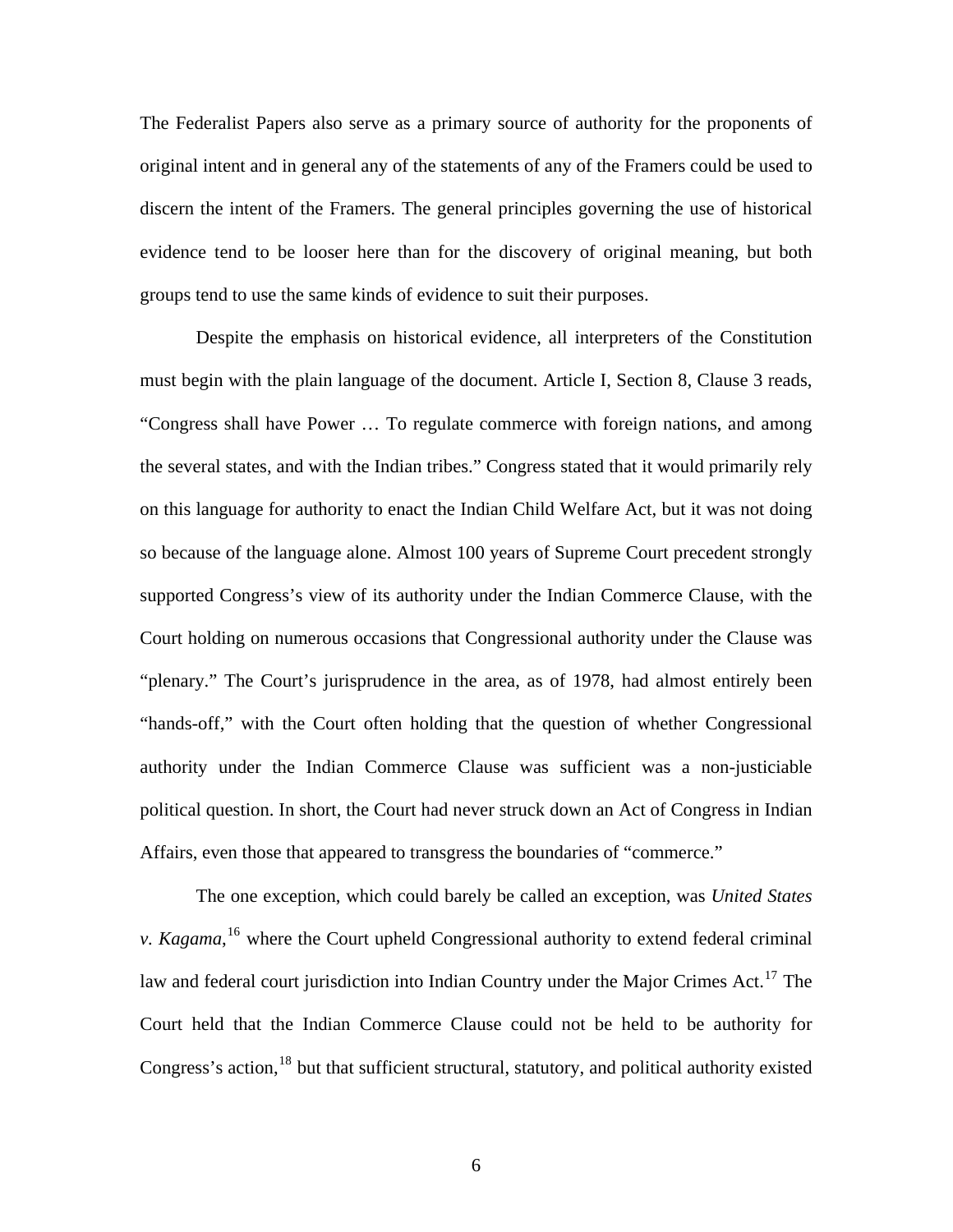The Federalist Papers also serve as a primary source of authority for the proponents of original intent and in general any of the statements of any of the Framers could be used to discern the intent of the Framers. The general principles governing the use of historical evidence tend to be looser here than for the discovery of original meaning, but both groups tend to use the same kinds of evidence to suit their purposes.

 Despite the emphasis on historical evidence, all interpreters of the Constitution must begin with the plain language of the document. Article I, Section 8, Clause 3 reads, "Congress shall have Power … To regulate commerce with foreign nations, and among the several states, and with the Indian tribes." Congress stated that it would primarily rely on this language for authority to enact the Indian Child Welfare Act, but it was not doing so because of the language alone. Almost 100 years of Supreme Court precedent strongly supported Congress's view of its authority under the Indian Commerce Clause, with the Court holding on numerous occasions that Congressional authority under the Clause was "plenary." The Court's jurisprudence in the area, as of 1978, had almost entirely been "hands-off," with the Court often holding that the question of whether Congressional authority under the Indian Commerce Clause was sufficient was a non-justiciable political question. In short, the Court had never struck down an Act of Congress in Indian Affairs, even those that appeared to transgress the boundaries of "commerce."

 The one exception, which could barely be called an exception, was *United States v. Kagama*, [16](#page-29-1) where the Court upheld Congressional authority to extend federal criminal law and federal court jurisdiction into Indian Country under the Major Crimes Act.<sup>[17](#page-29-1)</sup> The Court held that the Indian Commerce Clause could not be held to be authority for Congress's action,<sup>[18](#page-29-1)</sup> but that sufficient structural, statutory, and political authority existed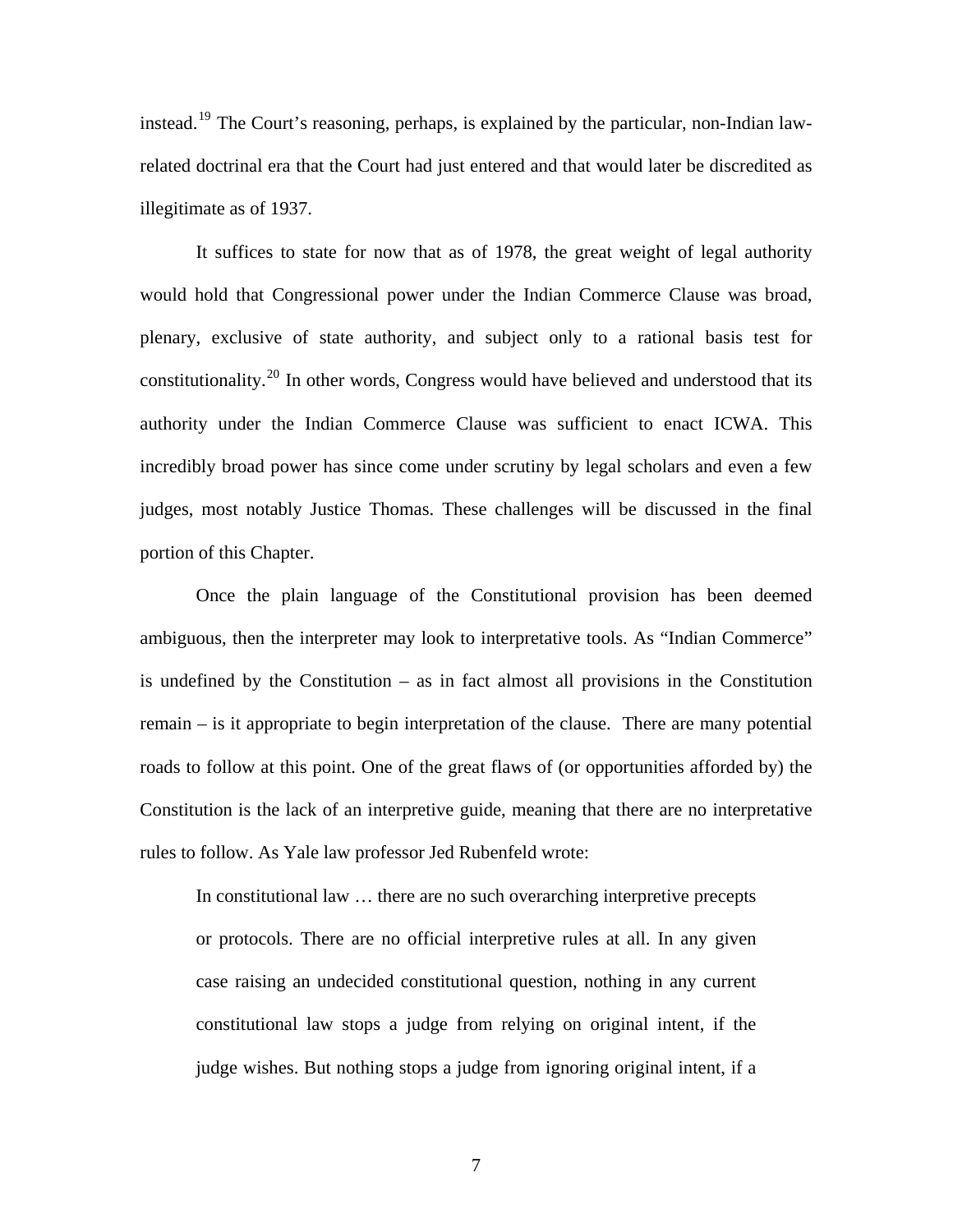instead.[19](#page-29-1) The Court's reasoning, perhaps, is explained by the particular, non-Indian lawrelated doctrinal era that the Court had just entered and that would later be discredited as illegitimate as of 1937.

 It suffices to state for now that as of 1978, the great weight of legal authority would hold that Congressional power under the Indian Commerce Clause was broad, plenary, exclusive of state authority, and subject only to a rational basis test for constitutionality.<sup>[20](#page-29-1)</sup> In other words, Congress would have believed and understood that its authority under the Indian Commerce Clause was sufficient to enact ICWA. This incredibly broad power has since come under scrutiny by legal scholars and even a few judges, most notably Justice Thomas. These challenges will be discussed in the final portion of this Chapter.

 Once the plain language of the Constitutional provision has been deemed ambiguous, then the interpreter may look to interpretative tools. As "Indian Commerce" is undefined by the Constitution – as in fact almost all provisions in the Constitution remain – is it appropriate to begin interpretation of the clause. There are many potential roads to follow at this point. One of the great flaws of (or opportunities afforded by) the Constitution is the lack of an interpretive guide, meaning that there are no interpretative rules to follow. As Yale law professor Jed Rubenfeld wrote:

In constitutional law … there are no such overarching interpretive precepts or protocols. There are no official interpretive rules at all. In any given case raising an undecided constitutional question, nothing in any current constitutional law stops a judge from relying on original intent, if the judge wishes. But nothing stops a judge from ignoring original intent, if a

7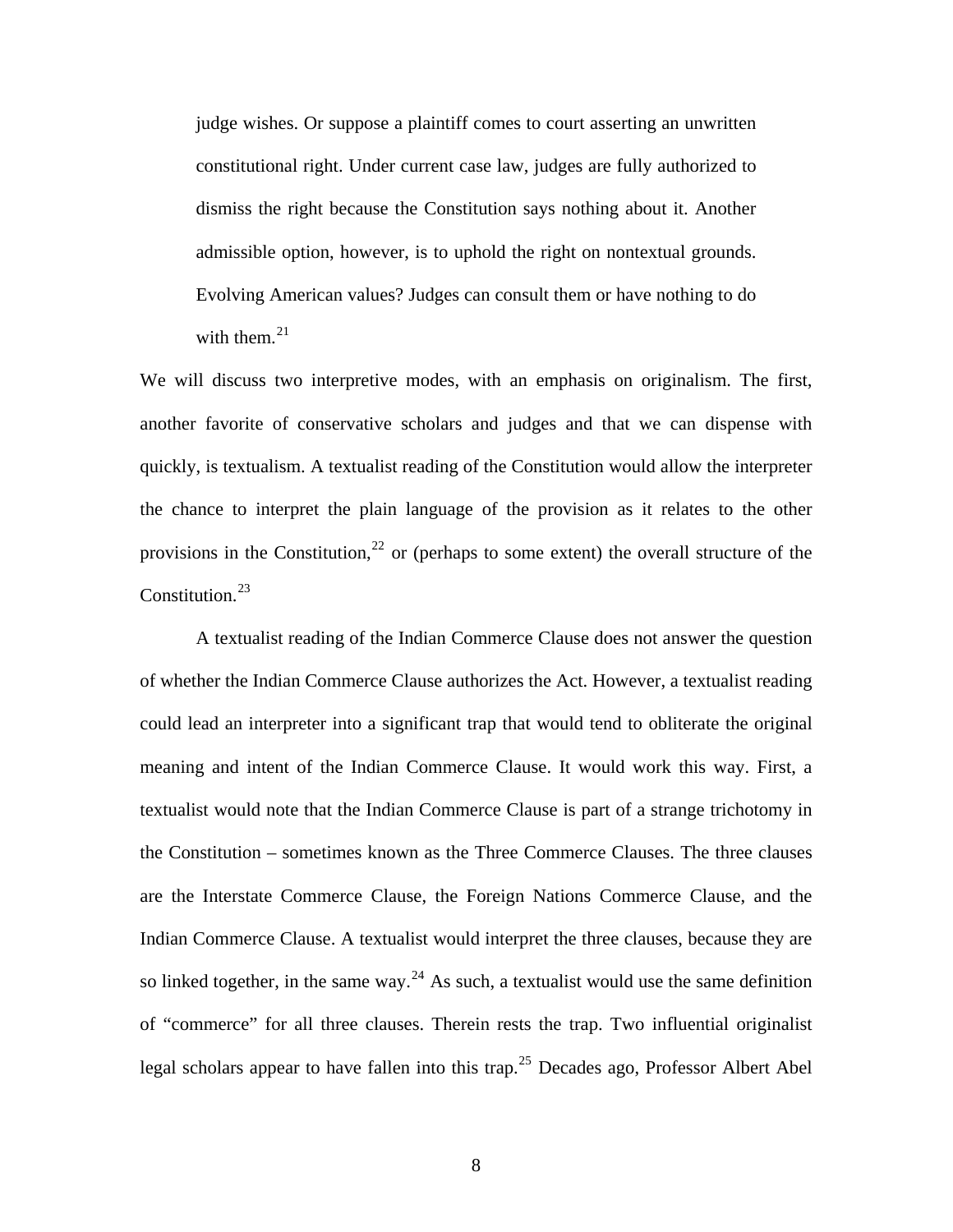judge wishes. Or suppose a plaintiff comes to court asserting an unwritten constitutional right. Under current case law, judges are fully authorized to dismiss the right because the Constitution says nothing about it. Another admissible option, however, is to uphold the right on nontextual grounds. Evolving American values? Judges can consult them or have nothing to do with them. $^{21}$  $^{21}$  $^{21}$ 

We will discuss two interpretive modes, with an emphasis on originalism. The first, another favorite of conservative scholars and judges and that we can dispense with quickly, is textualism. A textualist reading of the Constitution would allow the interpreter the chance to interpret the plain language of the provision as it relates to the other provisions in the Constitution,<sup>[22](#page-29-1)</sup> or (perhaps to some extent) the overall structure of the Constitution.<sup>[23](#page-29-1)</sup>

 A textualist reading of the Indian Commerce Clause does not answer the question of whether the Indian Commerce Clause authorizes the Act. However, a textualist reading could lead an interpreter into a significant trap that would tend to obliterate the original meaning and intent of the Indian Commerce Clause. It would work this way. First, a textualist would note that the Indian Commerce Clause is part of a strange trichotomy in the Constitution – sometimes known as the Three Commerce Clauses. The three clauses are the Interstate Commerce Clause, the Foreign Nations Commerce Clause, and the Indian Commerce Clause. A textualist would interpret the three clauses, because they are so linked together, in the same way.<sup>[24](#page-29-1)</sup> As such, a textualist would use the same definition of "commerce" for all three clauses. Therein rests the trap. Two influential originalist legal scholars appear to have fallen into this trap.<sup>[25](#page-29-1)</sup> Decades ago, Professor Albert Abel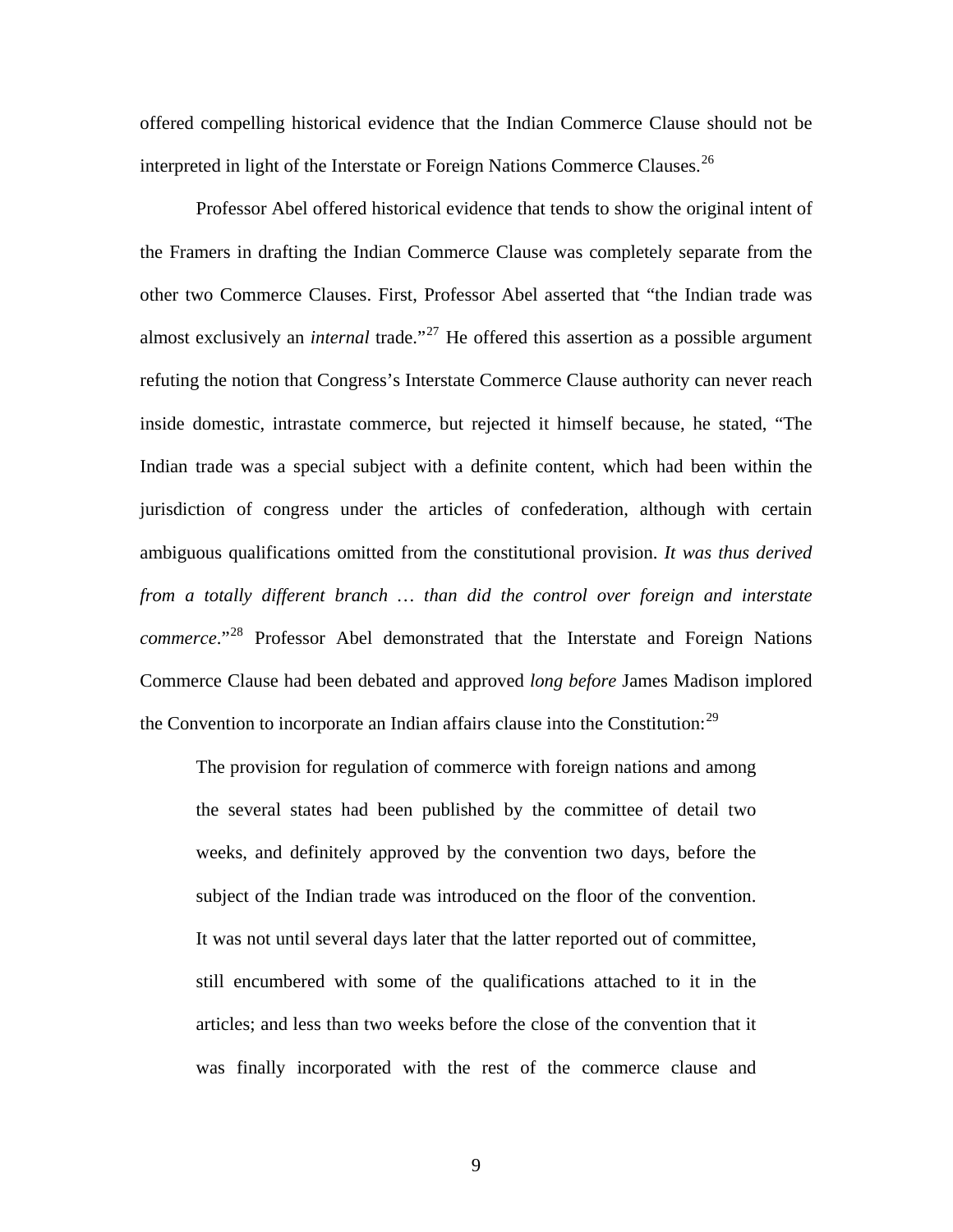offered compelling historical evidence that the Indian Commerce Clause should not be interpreted in light of the Interstate or Foreign Nations Commerce Clauses.<sup>[26](#page-29-1)</sup>

 Professor Abel offered historical evidence that tends to show the original intent of the Framers in drafting the Indian Commerce Clause was completely separate from the other two Commerce Clauses. First, Professor Abel asserted that "the Indian trade was almost exclusively an *internal* trade.<sup>"[27](#page-29-1)</sup> He offered this assertion as a possible argument refuting the notion that Congress's Interstate Commerce Clause authority can never reach inside domestic, intrastate commerce, but rejected it himself because, he stated, "The Indian trade was a special subject with a definite content, which had been within the jurisdiction of congress under the articles of confederation, although with certain ambiguous qualifications omitted from the constitutional provision. *It was thus derived from a totally different branch … than did the control over foreign and interstate commerce*."[28](#page-29-1) Professor Abel demonstrated that the Interstate and Foreign Nations Commerce Clause had been debated and approved *long before* James Madison implored the Convention to incorporate an Indian affairs clause into the Constitution: $^{29}$  $^{29}$  $^{29}$ 

The provision for regulation of commerce with foreign nations and among the several states had been published by the committee of detail two weeks, and definitely approved by the convention two days, before the subject of the Indian trade was introduced on the floor of the convention. It was not until several days later that the latter reported out of committee, still encumbered with some of the qualifications attached to it in the articles; and less than two weeks before the close of the convention that it was finally incorporated with the rest of the commerce clause and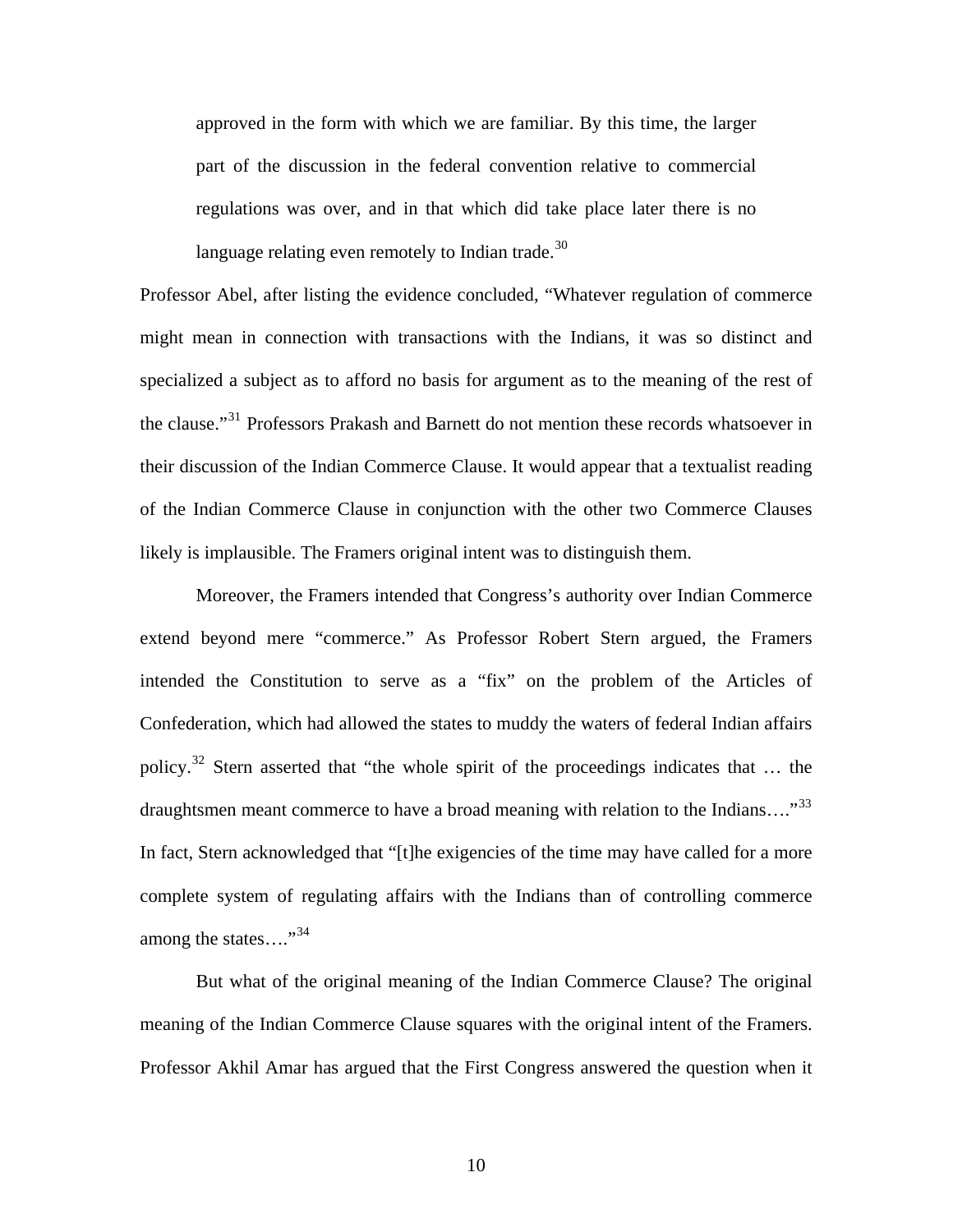approved in the form with which we are familiar. By this time, the larger part of the discussion in the federal convention relative to commercial regulations was over, and in that which did take place later there is no language relating even remotely to Indian trade.<sup>[30](#page-29-1)</sup>

Professor Abel, after listing the evidence concluded, "Whatever regulation of commerce might mean in connection with transactions with the Indians, it was so distinct and specialized a subject as to afford no basis for argument as to the meaning of the rest of the clause."<sup>[31](#page-29-1)</sup> Professors Prakash and Barnett do not mention these records whatsoever in their discussion of the Indian Commerce Clause. It would appear that a textualist reading of the Indian Commerce Clause in conjunction with the other two Commerce Clauses likely is implausible. The Framers original intent was to distinguish them.

 Moreover, the Framers intended that Congress's authority over Indian Commerce extend beyond mere "commerce." As Professor Robert Stern argued, the Framers intended the Constitution to serve as a "fix" on the problem of the Articles of Confederation, which had allowed the states to muddy the waters of federal Indian affairs policy.[32](#page-29-1) Stern asserted that "the whole spirit of the proceedings indicates that … the draughtsmen meant commerce to have a broad meaning with relation to the Indians...."<sup>[33](#page-29-1)</sup> In fact, Stern acknowledged that "[t]he exigencies of the time may have called for a more complete system of regulating affairs with the Indians than of controlling commerce among the states...."<sup>[34](#page-29-1)</sup>

 But what of the original meaning of the Indian Commerce Clause? The original meaning of the Indian Commerce Clause squares with the original intent of the Framers. Professor Akhil Amar has argued that the First Congress answered the question when it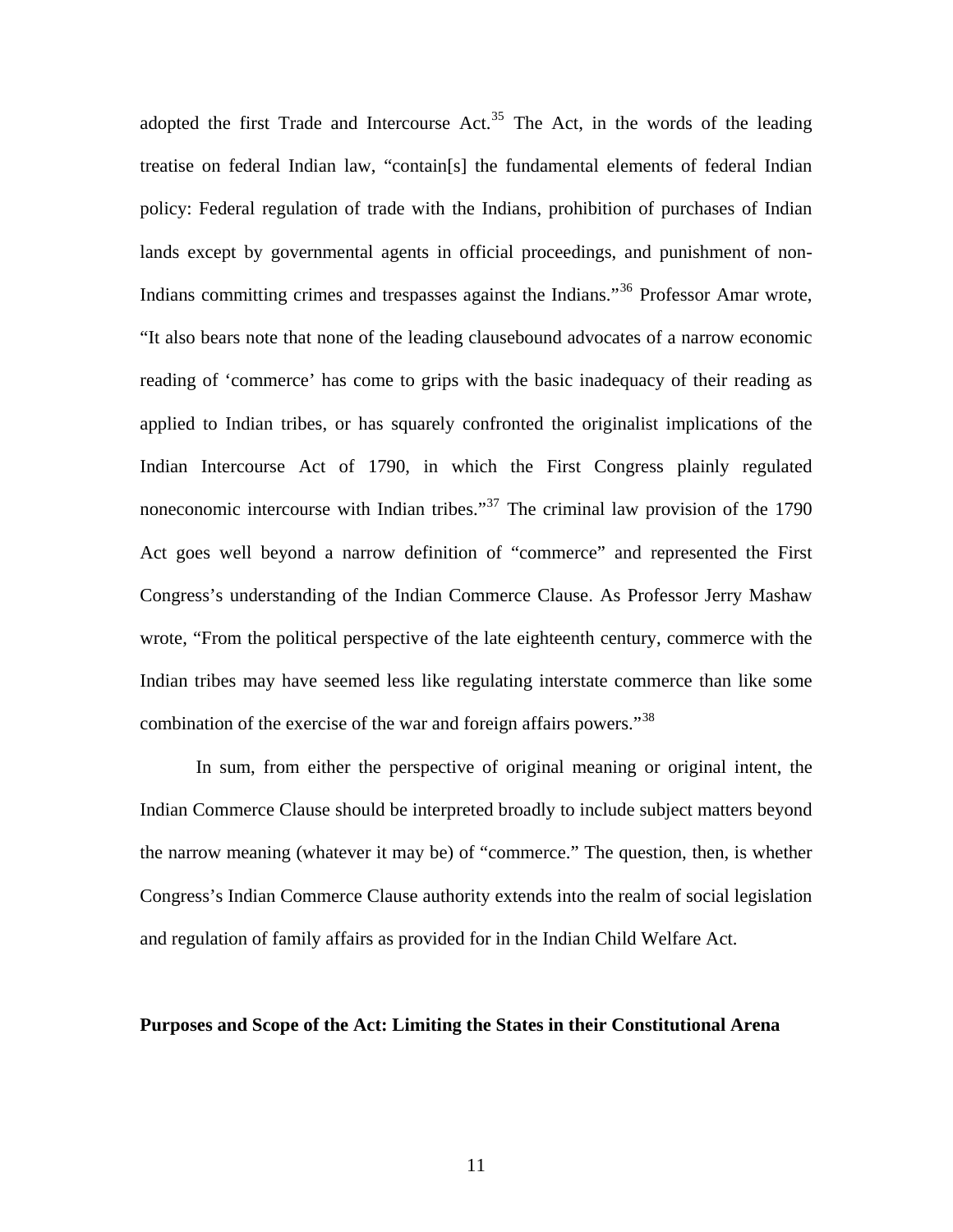adopted the first Trade and Intercourse Act.<sup>[35](#page-29-1)</sup> The Act, in the words of the leading treatise on federal Indian law, "contain[s] the fundamental elements of federal Indian policy: Federal regulation of trade with the Indians, prohibition of purchases of Indian lands except by governmental agents in official proceedings, and punishment of non-Indians committing crimes and trespasses against the Indians.<sup>[36](#page-29-1)</sup> Professor Amar wrote, "It also bears note that none of the leading clausebound advocates of a narrow economic reading of 'commerce' has come to grips with the basic inadequacy of their reading as applied to Indian tribes, or has squarely confronted the originalist implications of the Indian Intercourse Act of 1790, in which the First Congress plainly regulated noneconomic intercourse with Indian tribes."<sup>[37](#page-29-1)</sup> The criminal law provision of the 1790 Act goes well beyond a narrow definition of "commerce" and represented the First Congress's understanding of the Indian Commerce Clause. As Professor Jerry Mashaw wrote, "From the political perspective of the late eighteenth century, commerce with the Indian tribes may have seemed less like regulating interstate commerce than like some combination of the exercise of the war and foreign affairs powers."<sup>[38](#page-29-1)</sup>

 In sum, from either the perspective of original meaning or original intent, the Indian Commerce Clause should be interpreted broadly to include subject matters beyond the narrow meaning (whatever it may be) of "commerce." The question, then, is whether Congress's Indian Commerce Clause authority extends into the realm of social legislation and regulation of family affairs as provided for in the Indian Child Welfare Act.

#### **Purposes and Scope of the Act: Limiting the States in their Constitutional Arena**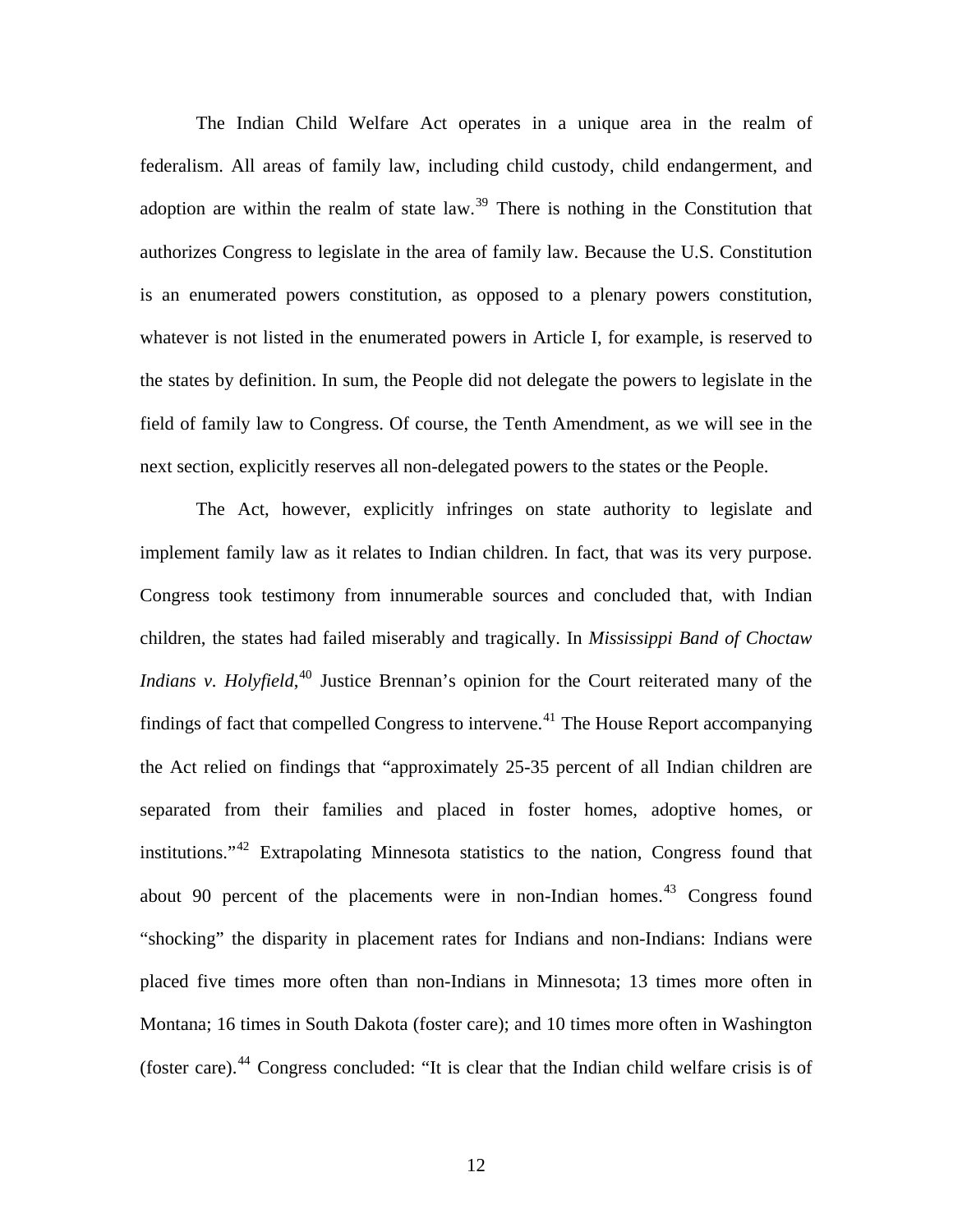The Indian Child Welfare Act operates in a unique area in the realm of federalism. All areas of family law, including child custody, child endangerment, and adoption are within the realm of state law.<sup>[39](#page-29-1)</sup> There is nothing in the Constitution that authorizes Congress to legislate in the area of family law. Because the U.S. Constitution is an enumerated powers constitution, as opposed to a plenary powers constitution, whatever is not listed in the enumerated powers in Article I, for example, is reserved to the states by definition. In sum, the People did not delegate the powers to legislate in the field of family law to Congress. Of course, the Tenth Amendment, as we will see in the next section, explicitly reserves all non-delegated powers to the states or the People.

 The Act, however, explicitly infringes on state authority to legislate and implement family law as it relates to Indian children. In fact, that was its very purpose. Congress took testimony from innumerable sources and concluded that, with Indian children, the states had failed miserably and tragically. In *Mississippi Band of Choctaw Indians v. Holyfield*, <sup>[40](#page-29-1)</sup> Justice Brennan's opinion for the Court reiterated many of the findings of fact that compelled Congress to intervene.<sup>[41](#page-29-1)</sup> The House Report accompanying the Act relied on findings that "approximately 25-35 percent of all Indian children are separated from their families and placed in foster homes, adoptive homes, or institutions."[42](#page-29-1) Extrapolating Minnesota statistics to the nation, Congress found that about 90 percent of the placements were in non-Indian homes.<sup>[43](#page-29-1)</sup> Congress found "shocking" the disparity in placement rates for Indians and non-Indians: Indians were placed five times more often than non-Indians in Minnesota; 13 times more often in Montana; 16 times in South Dakota (foster care); and 10 times more often in Washington (foster care).[44](#page-29-1) Congress concluded: "It is clear that the Indian child welfare crisis is of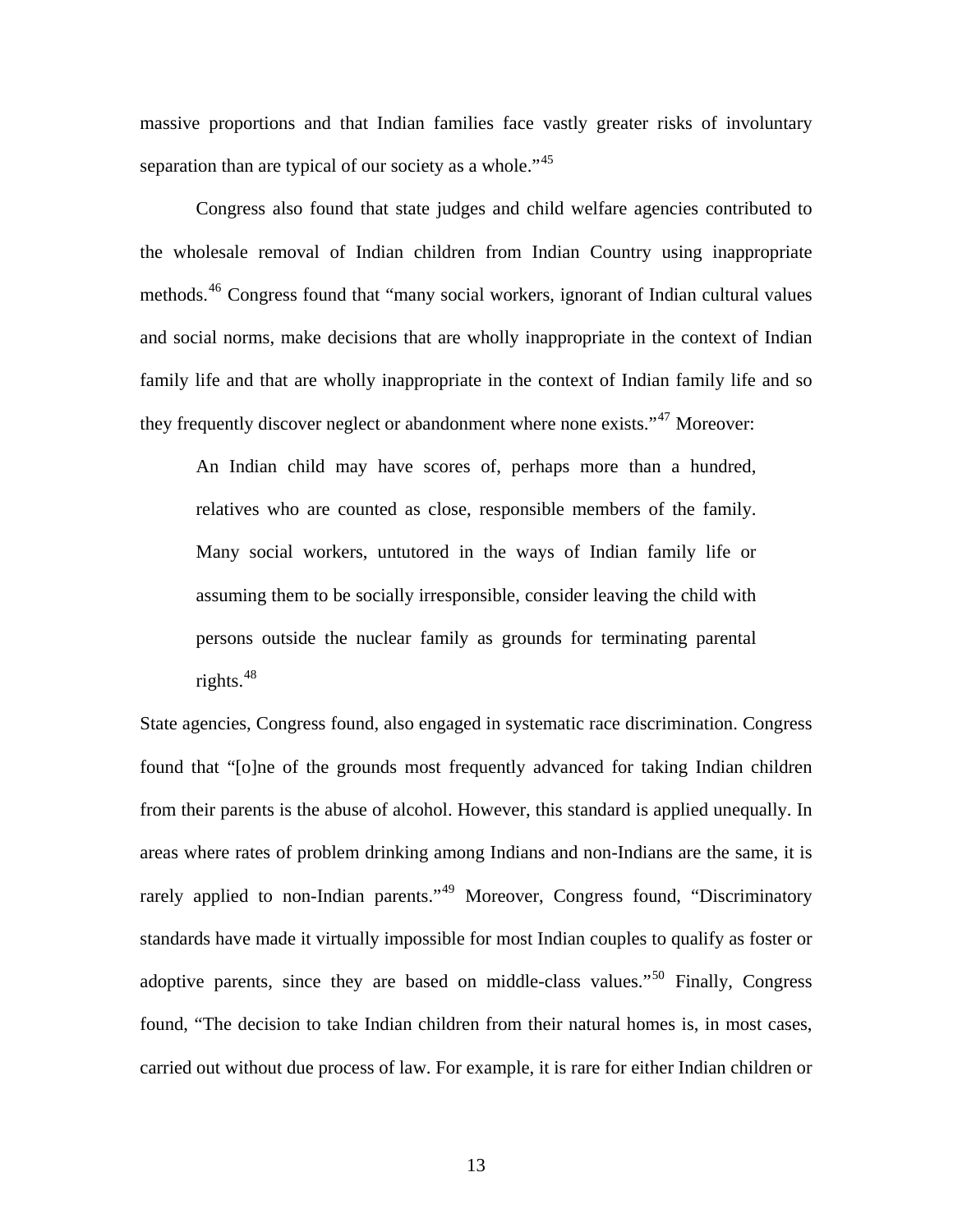massive proportions and that Indian families face vastly greater risks of involuntary separation than are typical of our society as a whole."<sup>[45](#page-29-1)</sup>

 Congress also found that state judges and child welfare agencies contributed to the wholesale removal of Indian children from Indian Country using inappropriate methods.<sup>[46](#page-29-1)</sup> Congress found that "many social workers, ignorant of Indian cultural values and social norms, make decisions that are wholly inappropriate in the context of Indian family life and that are wholly inappropriate in the context of Indian family life and so they frequently discover neglect or abandonment where none exists."<sup>[47](#page-29-1)</sup> Moreover:

An Indian child may have scores of, perhaps more than a hundred, relatives who are counted as close, responsible members of the family. Many social workers, untutored in the ways of Indian family life or assuming them to be socially irresponsible, consider leaving the child with persons outside the nuclear family as grounds for terminating parental rights. $48$ 

State agencies, Congress found, also engaged in systematic race discrimination. Congress found that "[o]ne of the grounds most frequently advanced for taking Indian children from their parents is the abuse of alcohol. However, this standard is applied unequally. In areas where rates of problem drinking among Indians and non-Indians are the same, it is rarely applied to non-Indian parents."<sup>[49](#page-29-1)</sup> Moreover, Congress found, "Discriminatory standards have made it virtually impossible for most Indian couples to qualify as foster or adoptive parents, since they are based on middle-class values."[50](#page-29-1) Finally, Congress found, "The decision to take Indian children from their natural homes is, in most cases, carried out without due process of law. For example, it is rare for either Indian children or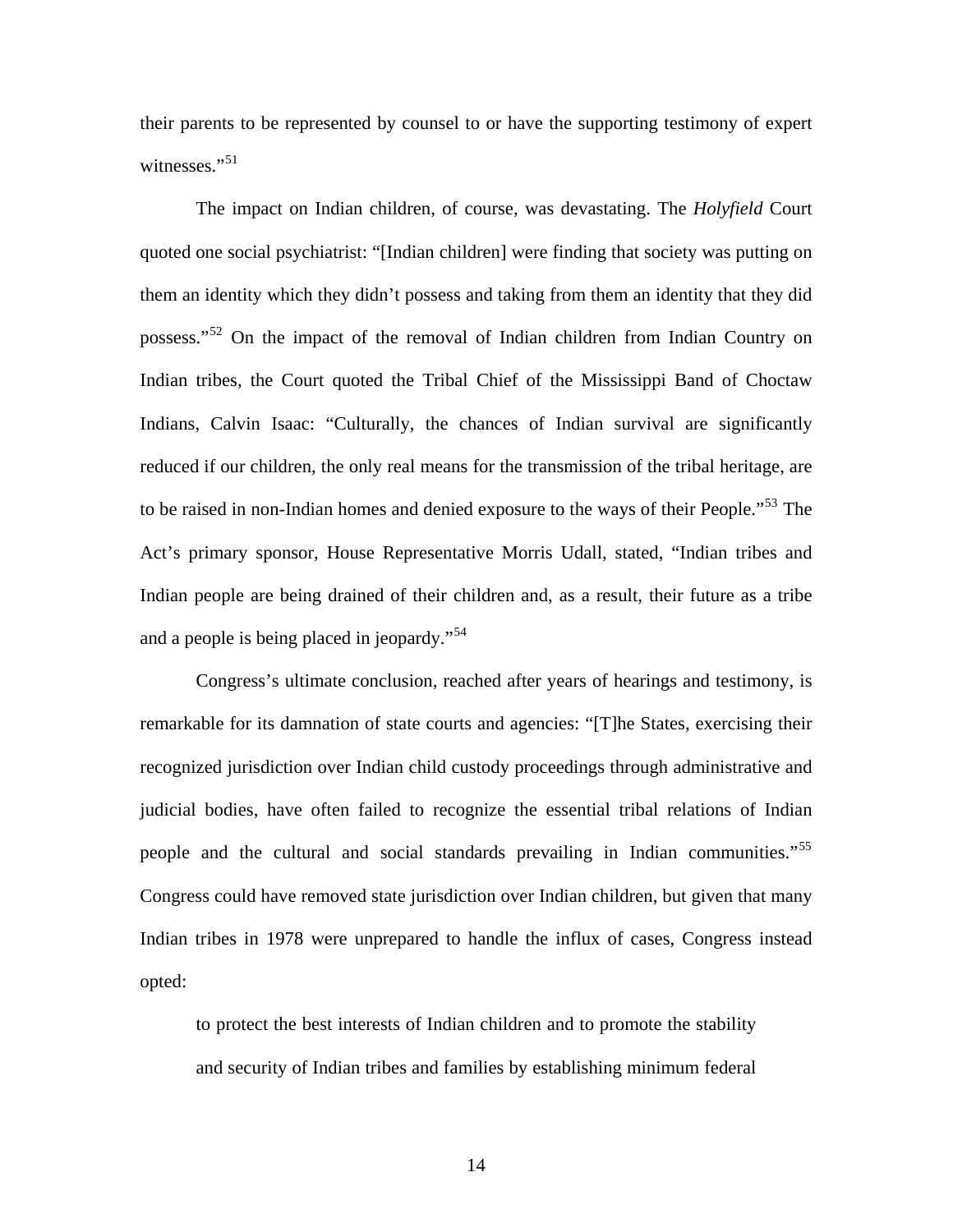their parents to be represented by counsel to or have the supporting testimony of expert witnesses."<sup>[51](#page-29-1)</sup>

 The impact on Indian children, of course, was devastating. The *Holyfield* Court quoted one social psychiatrist: "[Indian children] were finding that society was putting on them an identity which they didn't possess and taking from them an identity that they did possess."[52](#page-29-1) On the impact of the removal of Indian children from Indian Country on Indian tribes, the Court quoted the Tribal Chief of the Mississippi Band of Choctaw Indians, Calvin Isaac: "Culturally, the chances of Indian survival are significantly reduced if our children, the only real means for the transmission of the tribal heritage, are to be raised in non-Indian homes and denied exposure to the ways of their People.<sup>5[53](#page-29-1)</sup> The Act's primary sponsor, House Representative Morris Udall, stated, "Indian tribes and Indian people are being drained of their children and, as a result, their future as a tribe and a people is being placed in jeopardy."[54](#page-29-1)

 Congress's ultimate conclusion, reached after years of hearings and testimony, is remarkable for its damnation of state courts and agencies: "[T]he States, exercising their recognized jurisdiction over Indian child custody proceedings through administrative and judicial bodies, have often failed to recognize the essential tribal relations of Indian people and the cultural and social standards prevailing in Indian communities."<sup>[55](#page-29-1)</sup> Congress could have removed state jurisdiction over Indian children, but given that many Indian tribes in 1978 were unprepared to handle the influx of cases, Congress instead opted:

to protect the best interests of Indian children and to promote the stability and security of Indian tribes and families by establishing minimum federal

14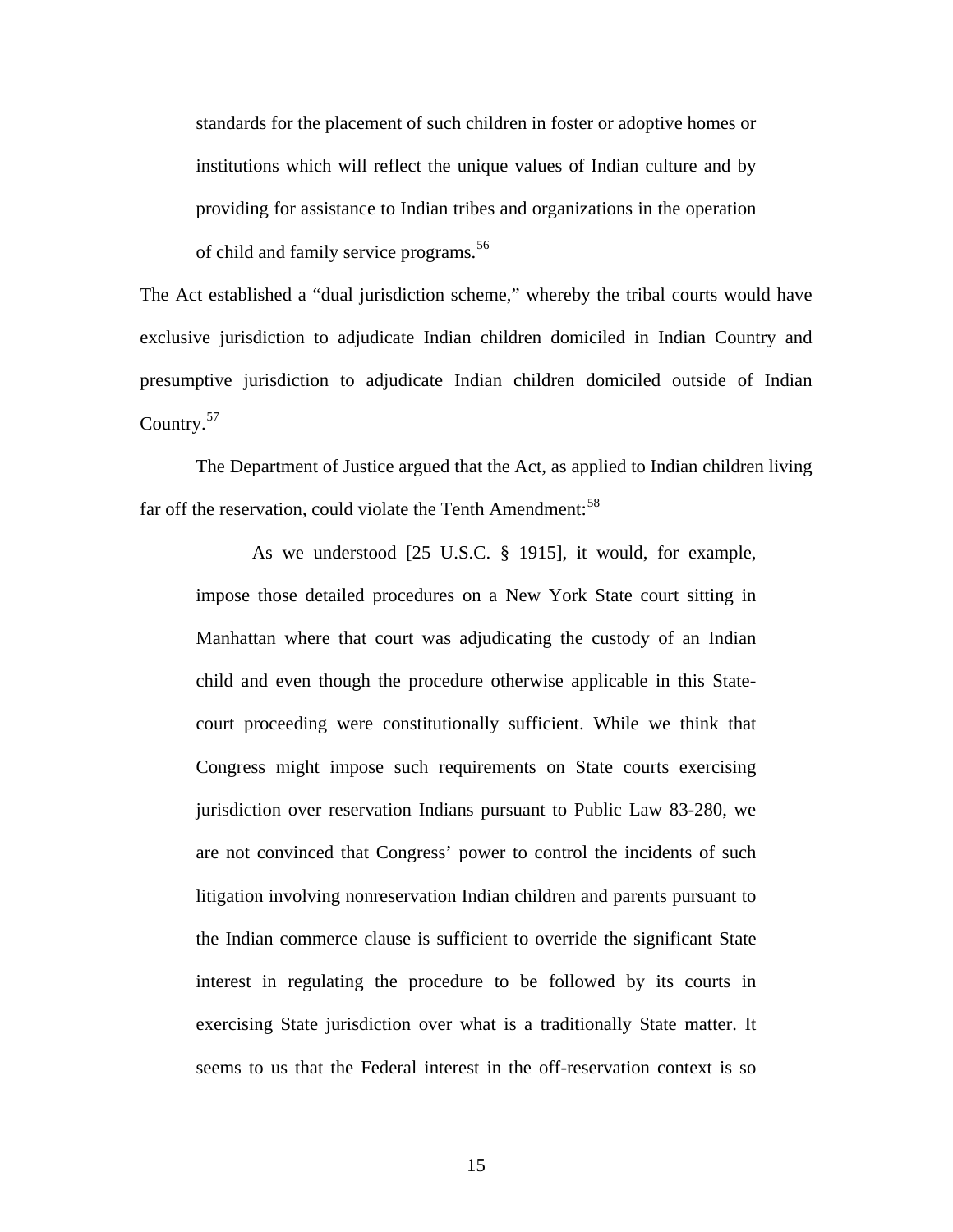standards for the placement of such children in foster or adoptive homes or institutions which will reflect the unique values of Indian culture and by providing for assistance to Indian tribes and organizations in the operation of child and family service programs.<sup>[56](#page-29-1)</sup>

The Act established a "dual jurisdiction scheme," whereby the tribal courts would have exclusive jurisdiction to adjudicate Indian children domiciled in Indian Country and presumptive jurisdiction to adjudicate Indian children domiciled outside of Indian Country.<sup>[57](#page-29-1)</sup>

 The Department of Justice argued that the Act, as applied to Indian children living far off the reservation, could violate the Tenth Amendment:  $58$ 

 As we understood [25 U.S.C. § 1915], it would, for example, impose those detailed procedures on a New York State court sitting in Manhattan where that court was adjudicating the custody of an Indian child and even though the procedure otherwise applicable in this Statecourt proceeding were constitutionally sufficient. While we think that Congress might impose such requirements on State courts exercising jurisdiction over reservation Indians pursuant to Public Law 83-280, we are not convinced that Congress' power to control the incidents of such litigation involving nonreservation Indian children and parents pursuant to the Indian commerce clause is sufficient to override the significant State interest in regulating the procedure to be followed by its courts in exercising State jurisdiction over what is a traditionally State matter. It seems to us that the Federal interest in the off-reservation context is so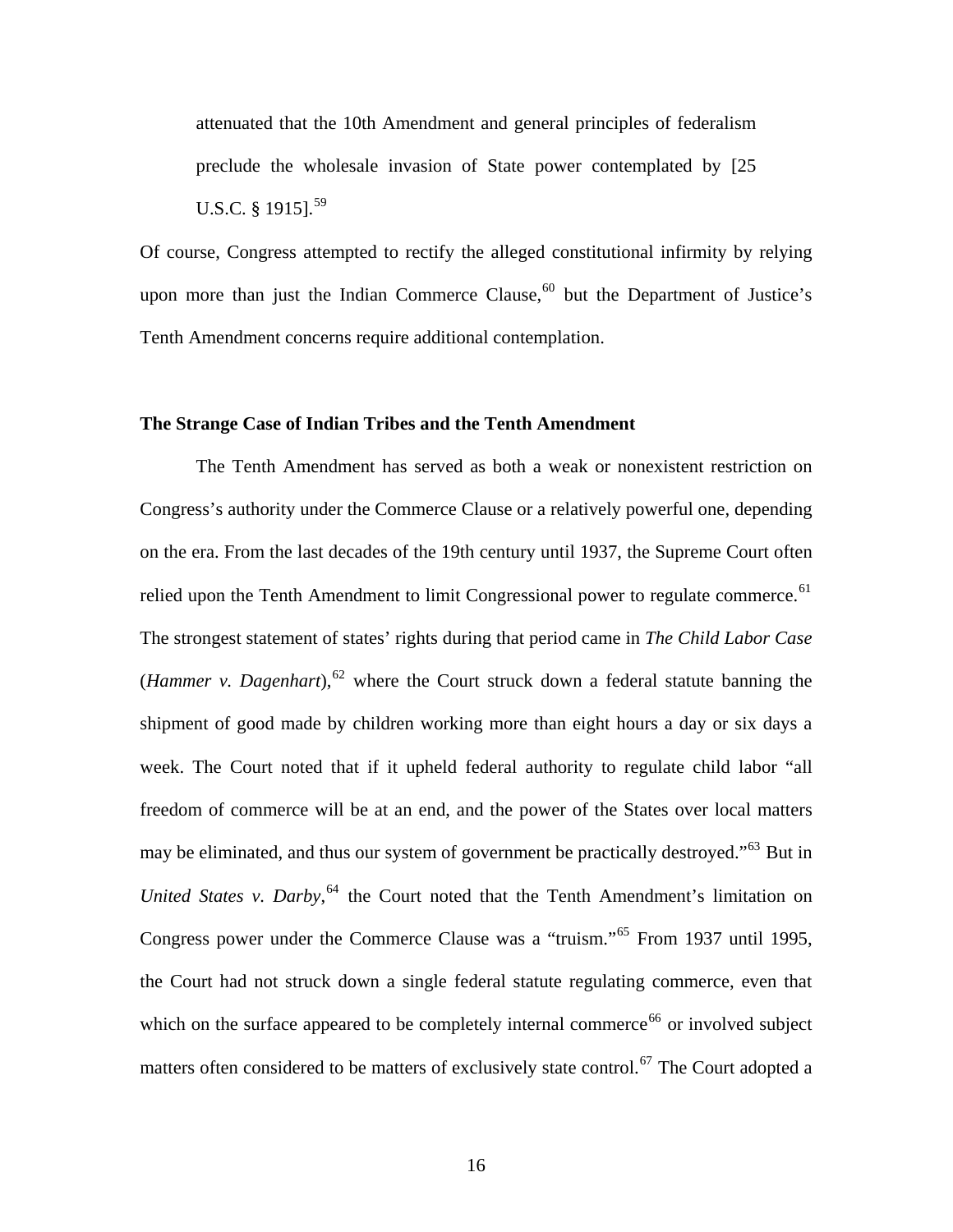attenuated that the 10th Amendment and general principles of federalism preclude the wholesale invasion of State power contemplated by [25 U.S.C. § 1915].<sup>[59](#page-29-1)</sup>

Of course, Congress attempted to rectify the alleged constitutional infirmity by relying upon more than just the Indian Commerce Clause,  $60$  but the Department of Justice's Tenth Amendment concerns require additional contemplation.

#### **The Strange Case of Indian Tribes and the Tenth Amendment**

 The Tenth Amendment has served as both a weak or nonexistent restriction on Congress's authority under the Commerce Clause or a relatively powerful one, depending on the era. From the last decades of the 19th century until 1937, the Supreme Court often relied upon the Tenth Amendment to limit Congressional power to regulate commerce.<sup>[61](#page-29-1)</sup> The strongest statement of states' rights during that period came in *The Child Labor Case*  (*Hammer v. Dagenhart*),  $62$  where the Court struck down a federal statute banning the shipment of good made by children working more than eight hours a day or six days a week. The Court noted that if it upheld federal authority to regulate child labor "all freedom of commerce will be at an end, and the power of the States over local matters may be eliminated, and thus our system of government be practically destroyed."<sup>[63](#page-29-1)</sup> But in United States v. Darby,<sup>[64](#page-29-1)</sup> the Court noted that the Tenth Amendment's limitation on Congress power under the Commerce Clause was a "truism."[65](#page-29-1) From 1937 until 1995, the Court had not struck down a single federal statute regulating commerce, even that which on the surface appeared to be completely internal commerce<sup>[66](#page-29-1)</sup> or involved subject matters often considered to be matters of exclusively state control.<sup>[67](#page-29-1)</sup> The Court adopted a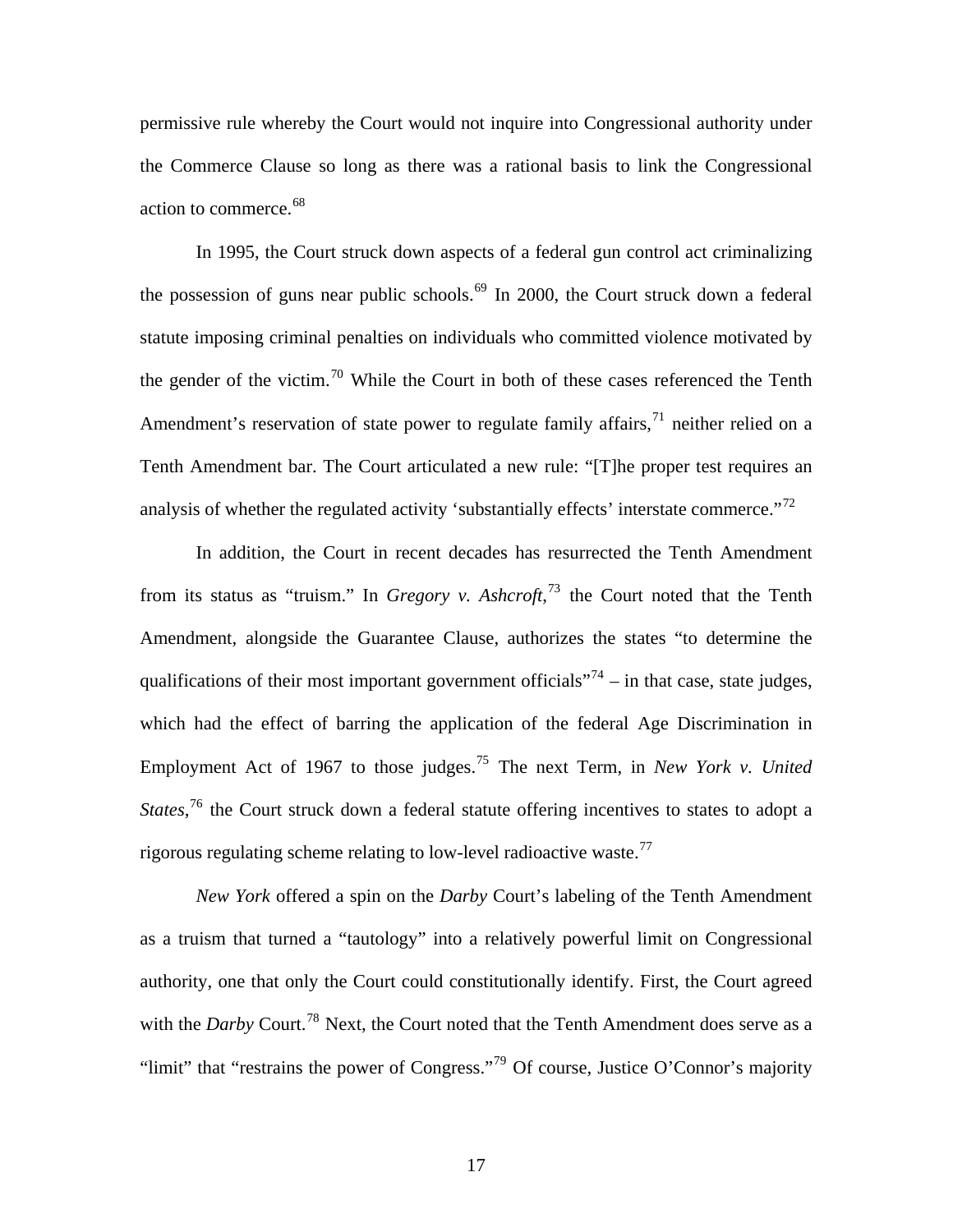permissive rule whereby the Court would not inquire into Congressional authority under the Commerce Clause so long as there was a rational basis to link the Congressional action to commerce.<sup>[68](#page-29-1)</sup>

 In 1995, the Court struck down aspects of a federal gun control act criminalizing the possession of guns near public schools.<sup>[69](#page-29-1)</sup> In 2000, the Court struck down a federal statute imposing criminal penalties on individuals who committed violence motivated by the gender of the victim.<sup>[70](#page-29-1)</sup> While the Court in both of these cases referenced the Tenth Amendment's reservation of state power to regulate family affairs,  $\frac{1}{1}$  neither relied on a Tenth Amendment bar. The Court articulated a new rule: "[T]he proper test requires an analysis of whether the regulated activity 'substantially effects' interstate commerce."<sup>[72](#page-29-1)</sup>

 In addition, the Court in recent decades has resurrected the Tenth Amendment from its status as "truism." In *Gregory v. Ashcroft*,<sup>[73](#page-29-1)</sup> the Court noted that the Tenth Amendment, alongside the Guarantee Clause, authorizes the states "to determine the qualifications of their most important government officials"<sup>[74](#page-29-1)</sup> – in that case, state judges, which had the effect of barring the application of the federal Age Discrimination in Employment Act of 1967 to those judges.[75](#page-29-1) The next Term, in *New York v. United States*,<sup>[76](#page-29-1)</sup> the Court struck down a federal statute offering incentives to states to adopt a rigorous regulating scheme relating to low-level radioactive waste.<sup>[77](#page-29-1)</sup>

*New York* offered a spin on the *Darby* Court's labeling of the Tenth Amendment as a truism that turned a "tautology" into a relatively powerful limit on Congressional authority, one that only the Court could constitutionally identify. First, the Court agreed with the *Darby* Court.<sup>[78](#page-29-1)</sup> Next, the Court noted that the Tenth Amendment does serve as a "limit" that "restrains the power of Congress."<sup>[79](#page-29-1)</sup> Of course, Justice O'Connor's majority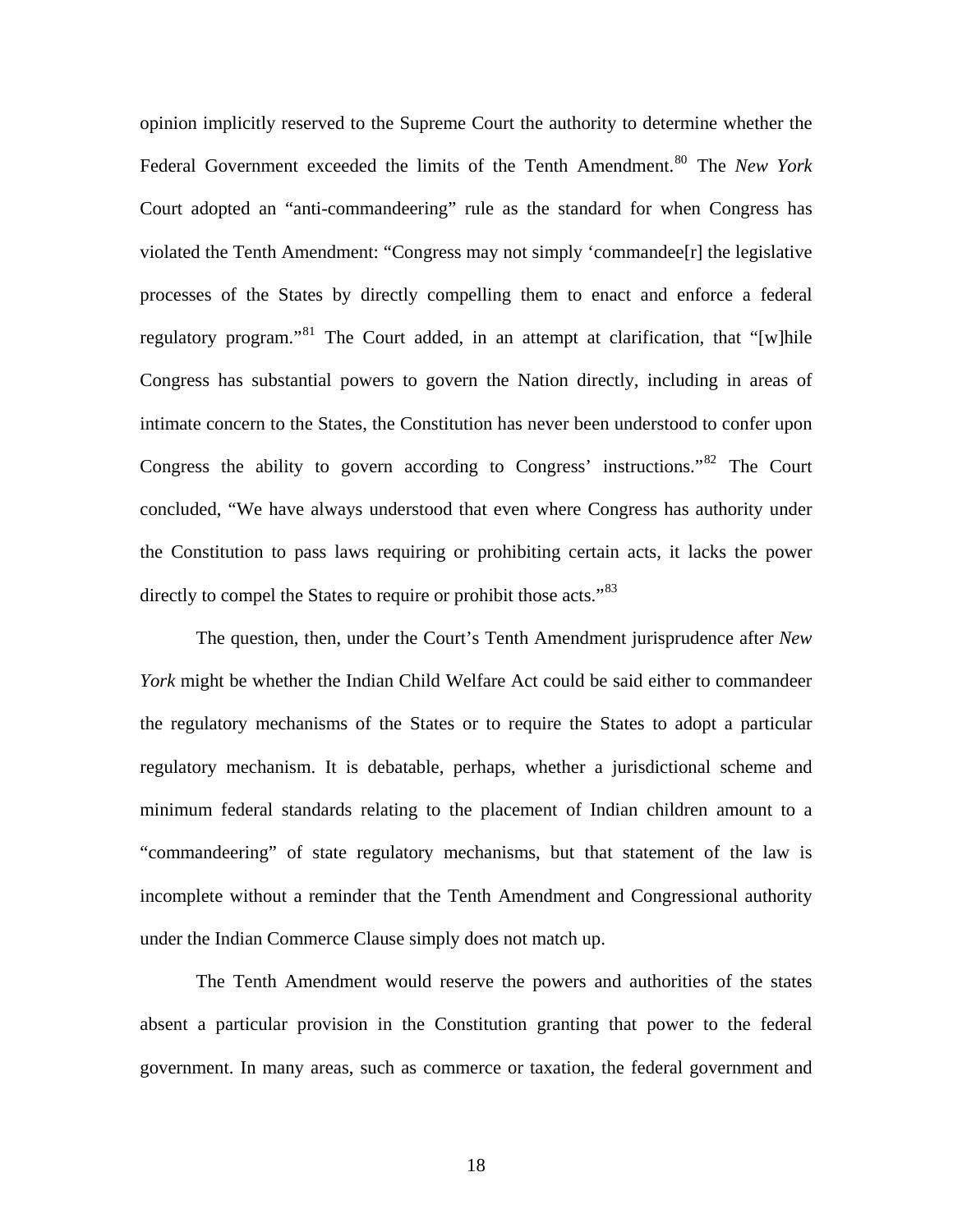opinion implicitly reserved to the Supreme Court the authority to determine whether the Federal Government exceeded the limits of the Tenth Amendment.<sup>[80](#page-29-1)</sup> The *New York* Court adopted an "anti-commandeering" rule as the standard for when Congress has violated the Tenth Amendment: "Congress may not simply 'commandee[r] the legislative processes of the States by directly compelling them to enact and enforce a federal regulatory program."<sup>[81](#page-29-1)</sup> The Court added, in an attempt at clarification, that "[w]hile Congress has substantial powers to govern the Nation directly, including in areas of intimate concern to the States, the Constitution has never been understood to confer upon Congress the ability to govern according to Congress' instructions."[82](#page-29-1) The Court concluded, "We have always understood that even where Congress has authority under the Constitution to pass laws requiring or prohibiting certain acts, it lacks the power directly to compel the States to require or prohibit those acts."<sup>[83](#page-29-1)</sup>

 The question, then, under the Court's Tenth Amendment jurisprudence after *New York* might be whether the Indian Child Welfare Act could be said either to commandeer the regulatory mechanisms of the States or to require the States to adopt a particular regulatory mechanism. It is debatable, perhaps, whether a jurisdictional scheme and minimum federal standards relating to the placement of Indian children amount to a "commandeering" of state regulatory mechanisms, but that statement of the law is incomplete without a reminder that the Tenth Amendment and Congressional authority under the Indian Commerce Clause simply does not match up.

 The Tenth Amendment would reserve the powers and authorities of the states absent a particular provision in the Constitution granting that power to the federal government. In many areas, such as commerce or taxation, the federal government and

18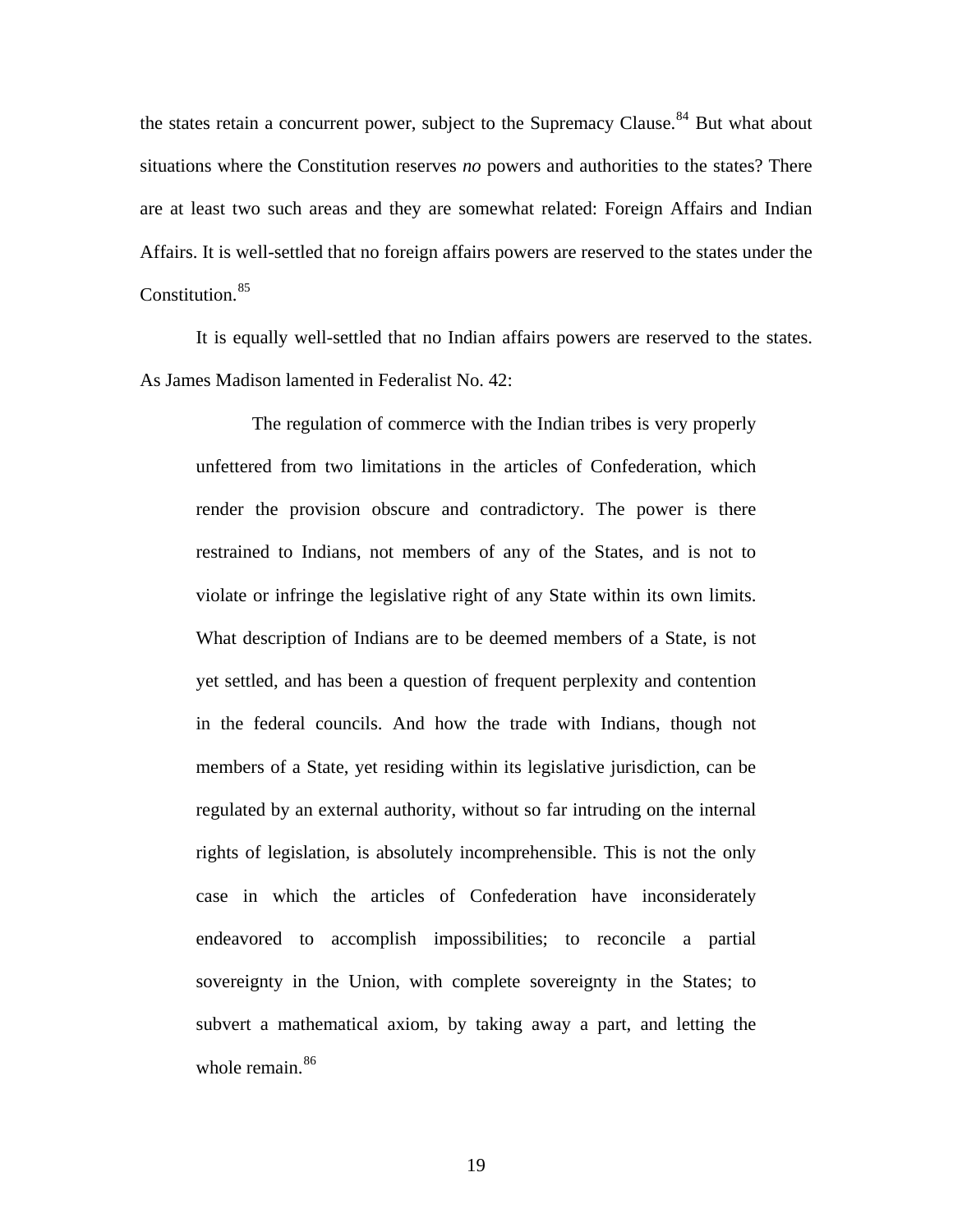the states retain a concurrent power, subject to the Supremacy Clause.<sup>[84](#page-29-1)</sup> But what about situations where the Constitution reserves *no* powers and authorities to the states? There are at least two such areas and they are somewhat related: Foreign Affairs and Indian Affairs. It is well-settled that no foreign affairs powers are reserved to the states under the Constitution.<sup>[85](#page-29-1)</sup>

 It is equally well-settled that no Indian affairs powers are reserved to the states. As James Madison lamented in Federalist No. 42:

 The regulation of commerce with the Indian tribes is very properly unfettered from two limitations in the articles of Confederation, which render the provision obscure and contradictory. The power is there restrained to Indians, not members of any of the States, and is not to violate or infringe the legislative right of any State within its own limits. What description of Indians are to be deemed members of a State, is not yet settled, and has been a question of frequent perplexity and contention in the federal councils. And how the trade with Indians, though not members of a State, yet residing within its legislative jurisdiction, can be regulated by an external authority, without so far intruding on the internal rights of legislation, is absolutely incomprehensible. This is not the only case in which the articles of Confederation have inconsiderately endeavored to accomplish impossibilities; to reconcile a partial sovereignty in the Union, with complete sovereignty in the States; to subvert a mathematical axiom, by taking away a part, and letting the whole remain.<sup>[86](#page-29-1)</sup>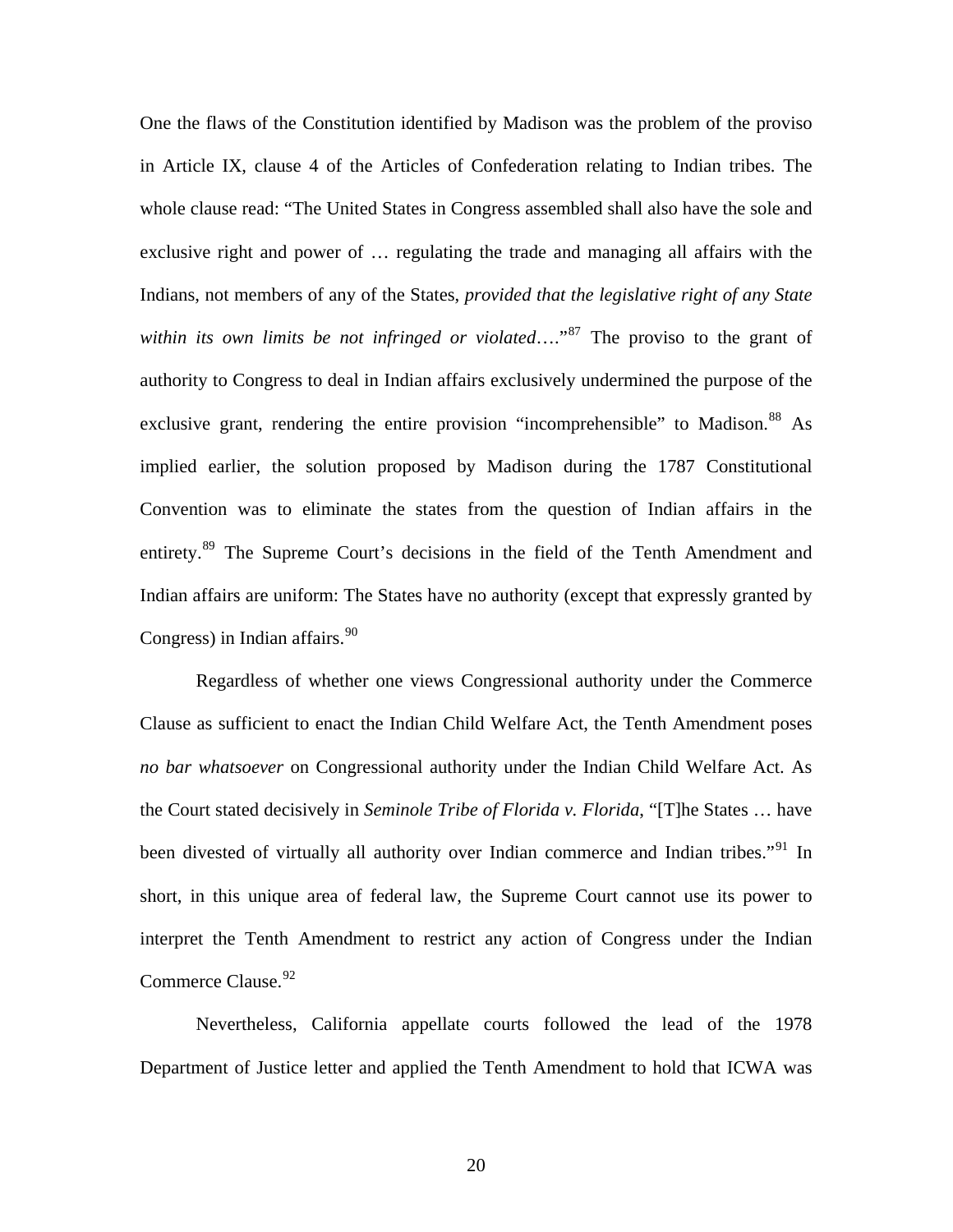One the flaws of the Constitution identified by Madison was the problem of the proviso in Article IX, clause 4 of the Articles of Confederation relating to Indian tribes. The whole clause read: "The United States in Congress assembled shall also have the sole and exclusive right and power of … regulating the trade and managing all affairs with the Indians, not members of any of the States, *provided that the legislative right of any State within its own limits be not infringed or violated*…."[87](#page-29-1) The proviso to the grant of authority to Congress to deal in Indian affairs exclusively undermined the purpose of the exclusive grant, rendering the entire provision "incomprehensible" to Madison.<sup>[88](#page-29-1)</sup> As implied earlier, the solution proposed by Madison during the 1787 Constitutional Convention was to eliminate the states from the question of Indian affairs in the entirety.<sup>[89](#page-29-1)</sup> The Supreme Court's decisions in the field of the Tenth Amendment and Indian affairs are uniform: The States have no authority (except that expressly granted by Congress) in Indian affairs.  $90$ 

 Regardless of whether one views Congressional authority under the Commerce Clause as sufficient to enact the Indian Child Welfare Act, the Tenth Amendment poses *no bar whatsoever* on Congressional authority under the Indian Child Welfare Act. As the Court stated decisively in *Seminole Tribe of Florida v. Florida*, "[T]he States … have been divested of virtually all authority over Indian commerce and Indian tribes."<sup>[91](#page-29-1)</sup> In short, in this unique area of federal law, the Supreme Court cannot use its power to interpret the Tenth Amendment to restrict any action of Congress under the Indian Commerce Clause.<sup>[92](#page-29-1)</sup>

 Nevertheless, California appellate courts followed the lead of the 1978 Department of Justice letter and applied the Tenth Amendment to hold that ICWA was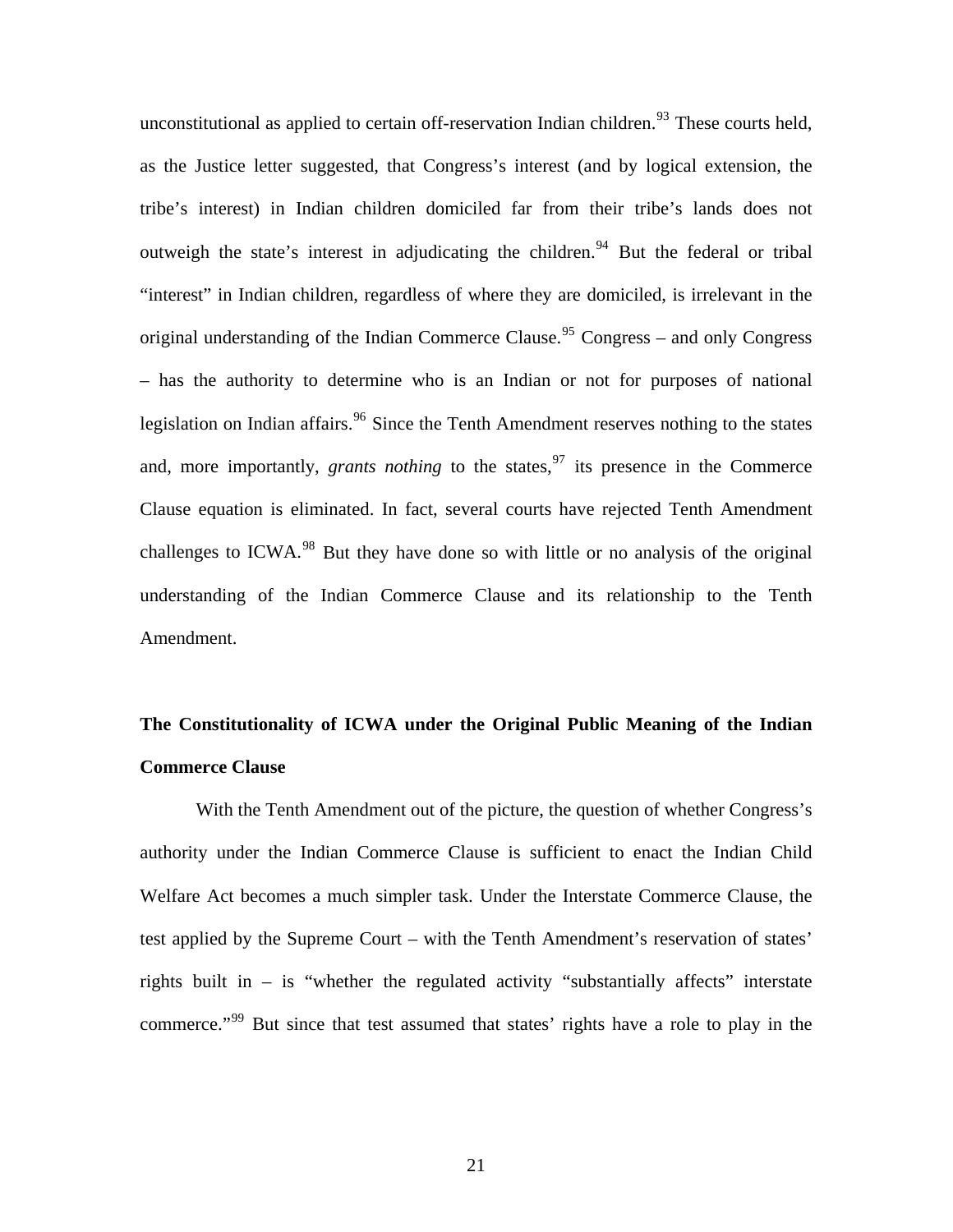unconstitutional as applied to certain off-reservation Indian children.<sup>[93](#page-29-1)</sup> These courts held, as the Justice letter suggested, that Congress's interest (and by logical extension, the tribe's interest) in Indian children domiciled far from their tribe's lands does not outweigh the state's interest in adjudicating the children.<sup>[94](#page-29-1)</sup> But the federal or tribal "interest" in Indian children, regardless of where they are domiciled, is irrelevant in the original understanding of the Indian Commerce Clause.<sup>[95](#page-29-1)</sup> Congress – and only Congress – has the authority to determine who is an Indian or not for purposes of national legislation on Indian affairs.<sup>[96](#page-29-1)</sup> Since the Tenth Amendment reserves nothing to the states and, more importantly, *grants nothing* to the states,  $97$  its presence in the Commerce Clause equation is eliminated. In fact, several courts have rejected Tenth Amendment challenges to ICWA.<sup>[98](#page-29-1)</sup> But they have done so with little or no analysis of the original understanding of the Indian Commerce Clause and its relationship to the Tenth Amendment.

# **The Constitutionality of ICWA under the Original Public Meaning of the Indian Commerce Clause**

 With the Tenth Amendment out of the picture, the question of whether Congress's authority under the Indian Commerce Clause is sufficient to enact the Indian Child Welfare Act becomes a much simpler task. Under the Interstate Commerce Clause, the test applied by the Supreme Court – with the Tenth Amendment's reservation of states' rights built in – is "whether the regulated activity "substantially affects" interstate commerce."<sup>[99](#page-29-1)</sup> But since that test assumed that states' rights have a role to play in the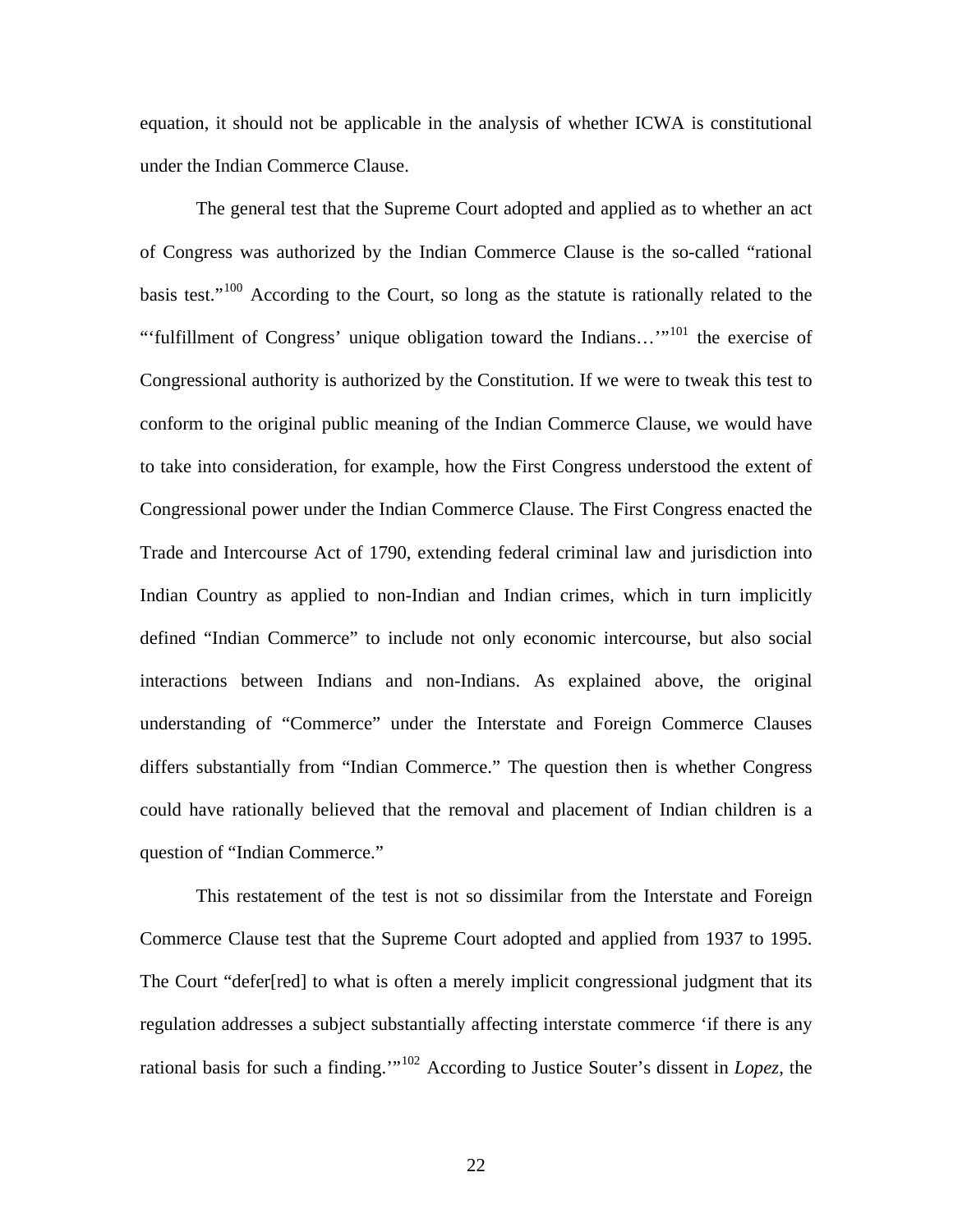equation, it should not be applicable in the analysis of whether ICWA is constitutional under the Indian Commerce Clause.

 The general test that the Supreme Court adopted and applied as to whether an act of Congress was authorized by the Indian Commerce Clause is the so-called "rational basis test."<sup>[100](#page-29-1)</sup> According to the Court, so long as the statute is rationally related to the "'fulfillment of Congress' unique obligation toward the Indians…'"[101](#page-29-1) the exercise of Congressional authority is authorized by the Constitution. If we were to tweak this test to conform to the original public meaning of the Indian Commerce Clause, we would have to take into consideration, for example, how the First Congress understood the extent of Congressional power under the Indian Commerce Clause. The First Congress enacted the Trade and Intercourse Act of 1790, extending federal criminal law and jurisdiction into Indian Country as applied to non-Indian and Indian crimes, which in turn implicitly defined "Indian Commerce" to include not only economic intercourse, but also social interactions between Indians and non-Indians. As explained above, the original understanding of "Commerce" under the Interstate and Foreign Commerce Clauses differs substantially from "Indian Commerce." The question then is whether Congress could have rationally believed that the removal and placement of Indian children is a question of "Indian Commerce."

 This restatement of the test is not so dissimilar from the Interstate and Foreign Commerce Clause test that the Supreme Court adopted and applied from 1937 to 1995. The Court "defer[red] to what is often a merely implicit congressional judgment that its regulation addresses a subject substantially affecting interstate commerce 'if there is any rational basis for such a finding.'"[102](#page-29-1) According to Justice Souter's dissent in *Lopez*, the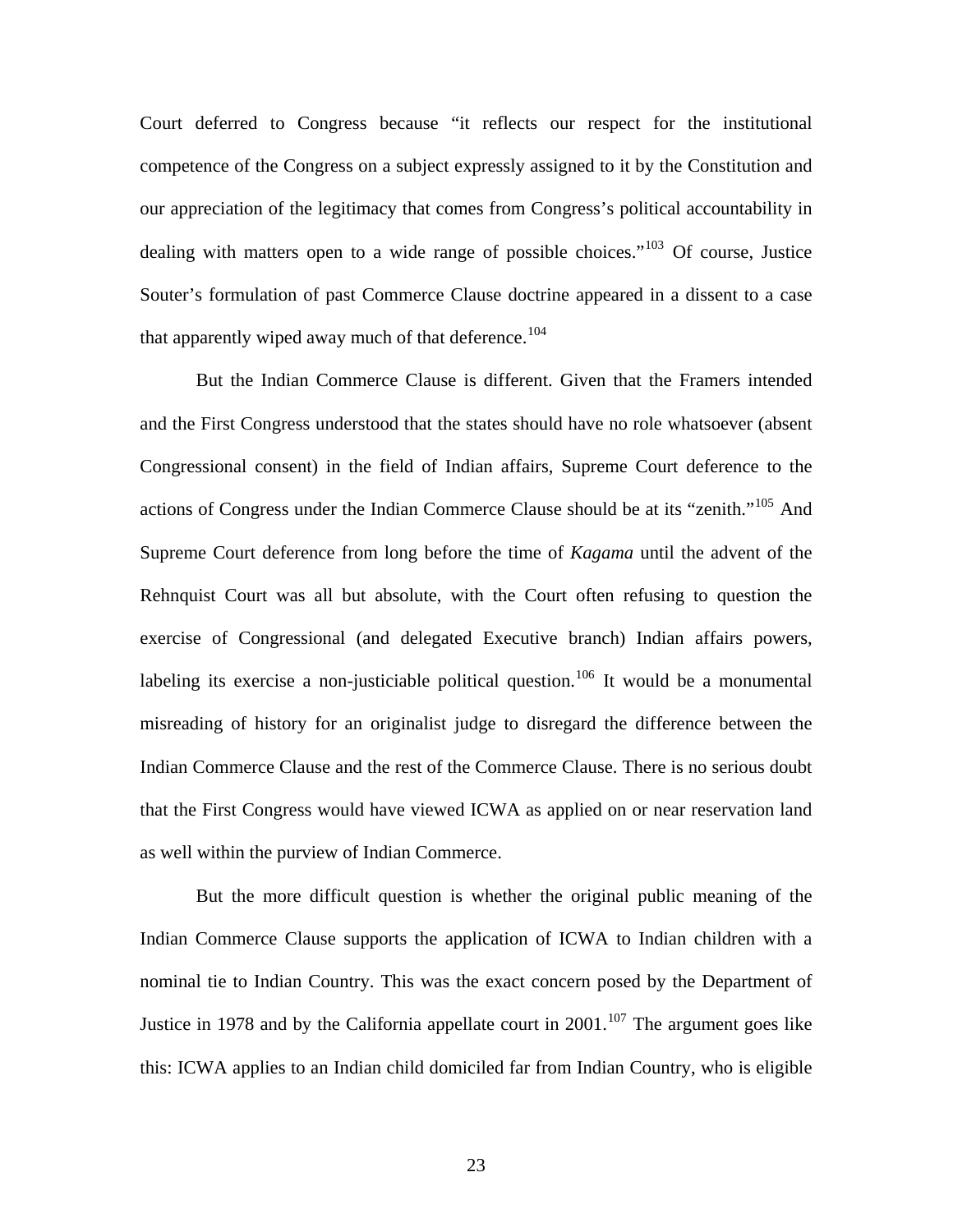Court deferred to Congress because "it reflects our respect for the institutional competence of the Congress on a subject expressly assigned to it by the Constitution and our appreciation of the legitimacy that comes from Congress's political accountability in dealing with matters open to a wide range of possible choices."[103](#page-29-1) Of course, Justice Souter's formulation of past Commerce Clause doctrine appeared in a dissent to a case that apparently wiped away much of that deference.<sup>[104](#page-29-1)</sup>

 But the Indian Commerce Clause is different. Given that the Framers intended and the First Congress understood that the states should have no role whatsoever (absent Congressional consent) in the field of Indian affairs, Supreme Court deference to the actions of Congress under the Indian Commerce Clause should be at its "zenith."[105](#page-29-1) And Supreme Court deference from long before the time of *Kagama* until the advent of the Rehnquist Court was all but absolute, with the Court often refusing to question the exercise of Congressional (and delegated Executive branch) Indian affairs powers, labeling its exercise a non-justiciable political question.<sup>[106](#page-29-1)</sup> It would be a monumental misreading of history for an originalist judge to disregard the difference between the Indian Commerce Clause and the rest of the Commerce Clause. There is no serious doubt that the First Congress would have viewed ICWA as applied on or near reservation land as well within the purview of Indian Commerce.

 But the more difficult question is whether the original public meaning of the Indian Commerce Clause supports the application of ICWA to Indian children with a nominal tie to Indian Country. This was the exact concern posed by the Department of Justice in 1978 and by the California appellate court in  $2001$ .<sup>[107](#page-29-1)</sup> The argument goes like this: ICWA applies to an Indian child domiciled far from Indian Country, who is eligible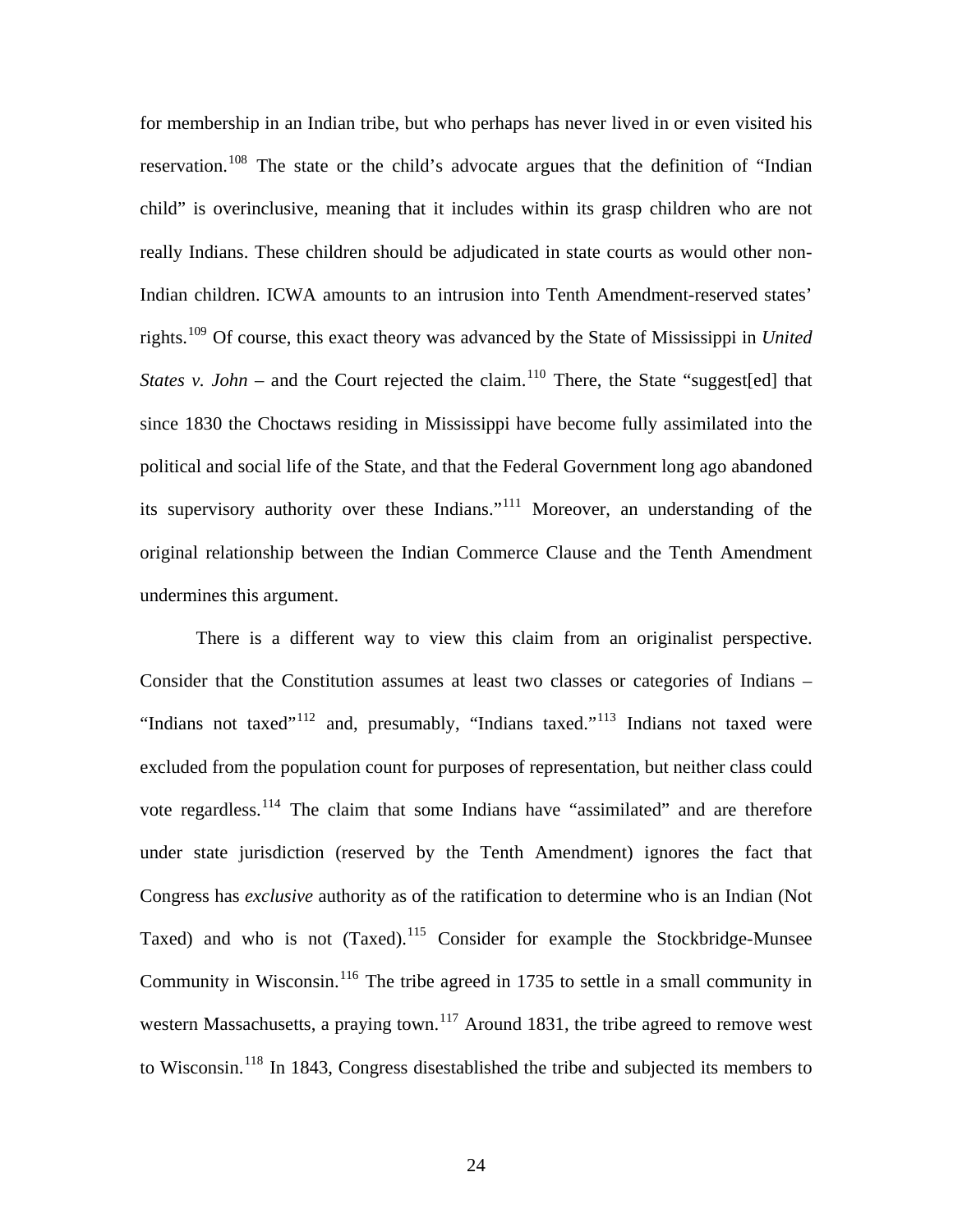for membership in an Indian tribe, but who perhaps has never lived in or even visited his reservation.<sup>[108](#page-29-1)</sup> The state or the child's advocate argues that the definition of "Indian" child" is overinclusive, meaning that it includes within its grasp children who are not really Indians. These children should be adjudicated in state courts as would other non-Indian children. ICWA amounts to an intrusion into Tenth Amendment-reserved states' rights.[109](#page-29-1) Of course, this exact theory was advanced by the State of Mississippi in *United States v. John* – and the Court rejected the claim.<sup>[110](#page-29-1)</sup> There, the State "suggest[ed] that since 1830 the Choctaws residing in Mississippi have become fully assimilated into the political and social life of the State, and that the Federal Government long ago abandoned its supervisory authority over these Indians."[111](#page-29-1) Moreover, an understanding of the original relationship between the Indian Commerce Clause and the Tenth Amendment undermines this argument.

 There is a different way to view this claim from an originalist perspective. Consider that the Constitution assumes at least two classes or categories of Indians – "Indians not taxed"<sup>[112](#page-29-1)</sup> and, presumably, "Indians taxed."<sup>[113](#page-29-1)</sup> Indians not taxed were excluded from the population count for purposes of representation, but neither class could vote regardless.<sup>[114](#page-29-1)</sup> The claim that some Indians have "assimilated" and are therefore under state jurisdiction (reserved by the Tenth Amendment) ignores the fact that Congress has *exclusive* authority as of the ratification to determine who is an Indian (Not Taxed) and who is not (Taxed).<sup>[115](#page-29-1)</sup> Consider for example the Stockbridge-Munsee Community in Wisconsin.<sup>[116](#page-29-1)</sup> The tribe agreed in 1735 to settle in a small community in western Massachusetts, a praying town.<sup>[117](#page-29-1)</sup> Around 1831, the tribe agreed to remove west to Wisconsin.[118](#page-29-1) In 1843, Congress disestablished the tribe and subjected its members to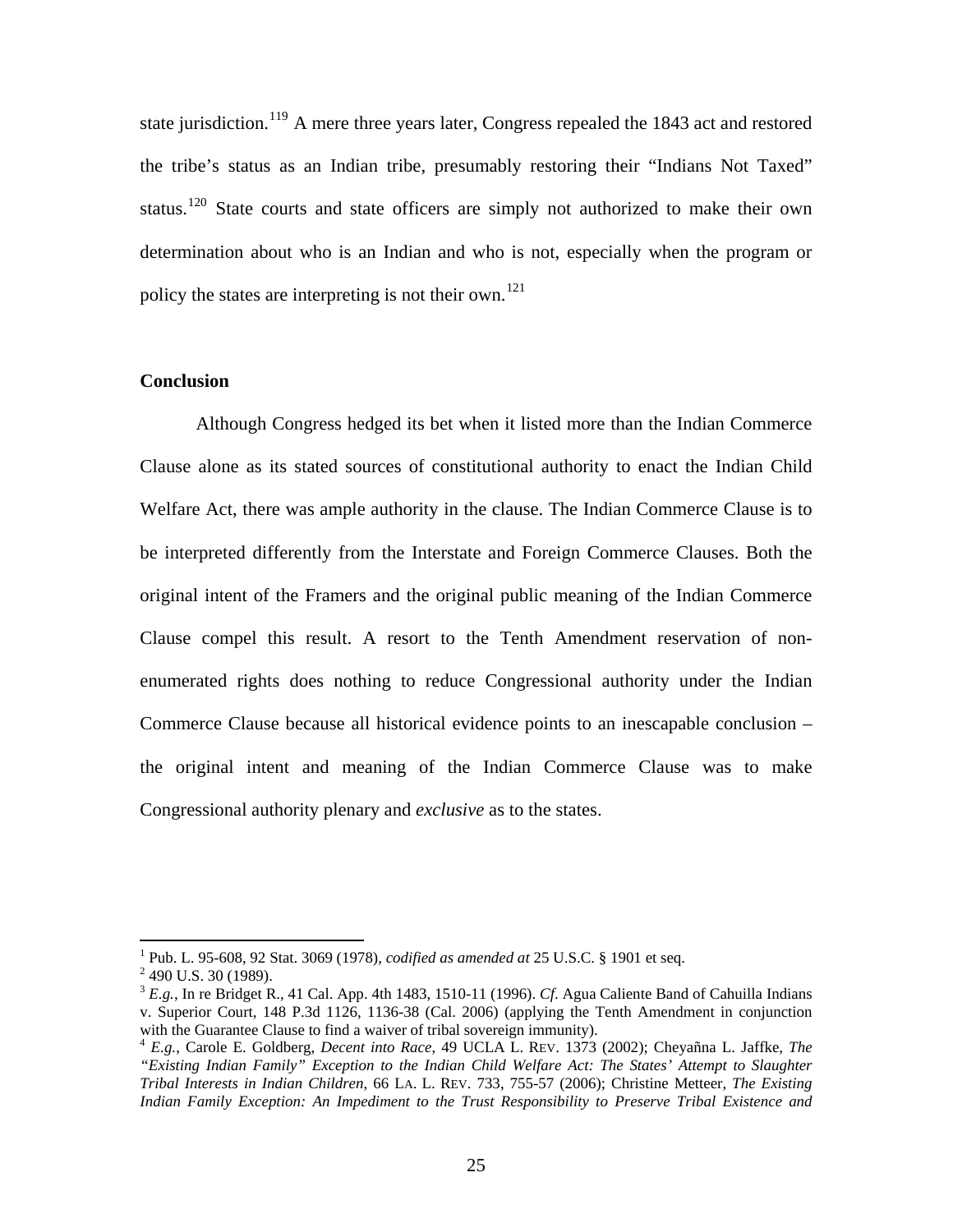state jurisdiction.<sup>[119](#page-29-1)</sup> A mere three years later, Congress repealed the 1843 act and restored the tribe's status as an Indian tribe, presumably restoring their "Indians Not Taxed" status.<sup>[120](#page-29-2)</sup> State courts and state officers are simply not authorized to make their own determination about who is an Indian and who is not, especially when the program or policy the states are interpreting is not their own.<sup>[121](#page-29-3)</sup>

#### **Conclusion**

 Although Congress hedged its bet when it listed more than the Indian Commerce Clause alone as its stated sources of constitutional authority to enact the Indian Child Welfare Act, there was ample authority in the clause. The Indian Commerce Clause is to be interpreted differently from the Interstate and Foreign Commerce Clauses. Both the original intent of the Framers and the original public meaning of the Indian Commerce Clause compel this result. A resort to the Tenth Amendment reservation of nonenumerated rights does nothing to reduce Congressional authority under the Indian Commerce Clause because all historical evidence points to an inescapable conclusion – the original intent and meaning of the Indian Commerce Clause was to make Congressional authority plenary and *exclusive* as to the states.

 $\overline{a}$ 

<sup>&</sup>lt;sup>1</sup> Pub. L. 95-608, 92 Stat. 3069 (1978), *codified as amended at* 25 U.S.C. § 1901 et seq. <sup>2</sup> 400 U.S. 20 (1080)

 $2$  490 U.S. 30 (1989).

<sup>3</sup> *E.g.*, In re Bridget R., 41 Cal. App. 4th 1483, 1510-11 (1996). *Cf*. Agua Caliente Band of Cahuilla Indians v. Superior Court, 148 P.3d 1126, 1136-38 (Cal. 2006) (applying the Tenth Amendment in conjunction

<sup>&</sup>lt;sup>4</sup> *E.g.*, Carole E. Goldberg, *Decent into Race*, 49 UCLA L. REV. 1373 (2002); Cheyañna L. Jaffke, *The "Existing Indian Family" Exception to the Indian Child Welfare Act: The States' Attempt to Slaughter Tribal Interests in Indian Children*, 66 LA. L. REV. 733, 755-57 (2006); Christine Metteer, *The Existing Indian Family Exception: An Impediment to the Trust Responsibility to Preserve Tribal Existence and*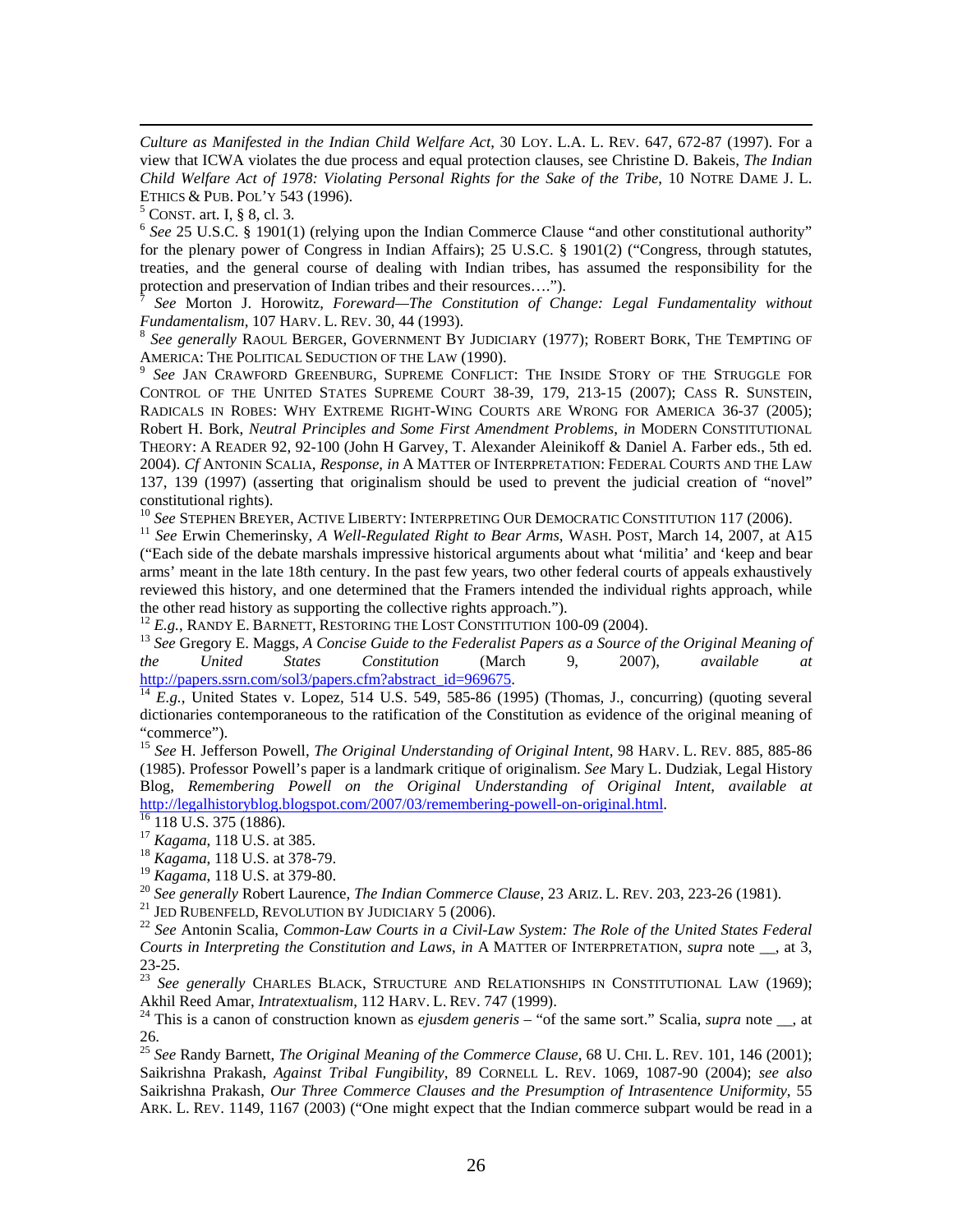*Culture as Manifested in the Indian Child Welfare Act*, 30 LOY. L.A. L. REV. 647, 672-87 (1997). For a view that ICWA violates the due process and equal protection clauses, see Christine D. Bakeis, *The Indian Child Welfare Act of 1978: Violating Personal Rights for the Sake of the Tribe*, 10 NOTRE DAME J. L. ETHICS & PUB. POL'Y 543 (1996).<br><sup>5</sup> CONST. art. I, § 8, cl. 3.

 $\overline{a}$ 

 $6$  See 25 U.S.C. § 1901(1) (relying upon the Indian Commerce Clause "and other constitutional authority" for the plenary power of Congress in Indian Affairs); 25 U.S.C. § 1901(2) ("Congress, through statutes, treaties, and the general course of dealing with Indian tribes, has assumed the responsibility for the protection and preservation of Indian tribes and their resources….").

<sup>7</sup> *See* Morton J. Horowitz, *Foreward—The Constitution of Change: Legal Fundamentality without* 

<sup>8</sup> See generally RAOUL BERGER, GOVERNMENT BY JUDICIARY (1977); ROBERT BORK, THE TEMPTING OF AMERICA: THE POLITICAL SEDUCTION OF THE LAW (1990).

See JAN CRAWFORD GREENBURG, SUPREME CONFLICT: THE INSIDE STORY OF THE STRUGGLE FOR CONTROL OF THE UNITED STATES SUPREME COURT 38-39, 179, 213-15 (2007); CASS R. SUNSTEIN, RADICALS IN ROBES: WHY EXTREME RIGHT-WING COURTS ARE WRONG FOR AMERICA 36-37 (2005); Robert H. Bork, *Neutral Principles and Some First Amendment Problems*, *in* MODERN CONSTITUTIONAL THEORY: A READER 92, 92-100 (John H Garvey, T. Alexander Aleinikoff & Daniel A. Farber eds., 5th ed. 2004). *Cf* ANTONIN SCALIA, *Response*, *in* A MATTER OF INTERPRETATION: FEDERAL COURTS AND THE LAW 137, 139 (1997) (asserting that originalism should be used to prevent the judicial creation of "novel" constitutional rights).<br><sup>10</sup> See Stephen Breyer, ACTIVE LIBERTY: INTERPRETING OUR DEMOCRATIC CONSTITUTION 117 (2006).

<sup>11</sup> See Erwin Chemerinsky, *A Well-Regulated Right to Bear Arms*, WASH. POST, March 14, 2007, at A15 ("Each side of the debate marshals impressive historical arguments about what 'militia' and 'keep and bear arms' meant in the late 18th century. In the past few years, two other federal courts of appeals exhaustively reviewed this history, and one determined that the Framers intended the individual rights approach, while the other read history as supporting the collective rights approach.").<br> $^{12}E.g.,$  RANDY E. BARNETT, RESTORING THE LOST CONSTITUTION 100-09 (2004).

<sup>13</sup> See Gregory E. Maggs, *A Concise Guide to the Federalist Papers as a Source of the Original Meaning of the United States Constitution* (March 9, 2007), *available at*

[http://papers.ssrn.com/sol3/papers.cfm?abstract\\_id=969675.](http://papers.ssrn.com/sol3/papers.cfm?abstract_id=969675)<br><sup>[14](http://papers.ssrn.com/sol3/papers.cfm?abstract_id=969675)</sup> *E.g.*, United States v. Lopez, 514 U.S. 549, 585-86 (1995) (Thomas, J., concurring) (quoting several dictionaries contemporaneous to the ratification of the Constitution as evidence of the original meaning of "commerce").

<sup>15</sup> *See* H. Jefferson Powell, *The Original Understanding of Original Intent*, 98 HARV. L. REV. 885, 885-86 (1985). Professor Powell's paper is a landmark critique of originalism. *See* Mary L. Dudziak, Legal History Blog, *Remembering Powell on the Original Understanding of Original Intent*, *available at* <http://legalhistoryblog.blogspot.com/2007/03/remembering-powell-on-original.html>.<br><sup>16</sup> 118 U.S. 375 (1886).<br><sup>17</sup> *Kagama*, 118 U.S. at 385.

<sup>18</sup> *Kagama*, 118 U.S. at 378-79.<br><sup>19</sup> *Kagama*, 118 U.S. at 379-80.

<sup>20</sup> See generally Robert Laurence, *The Indian Commerce Clause*, 23 ARIZ. L. REV. 203, 223-26 (1981).<br><sup>21</sup> JED RUBENFELD, REVOLUTION BY JUDICIARY 5 (2006).<br><sup>22</sup> See Antonin Scalia, *Common-Law Courts in a Civil-Law Syste Courts in Interpreting the Constitution and Laws*, *in* A MATTER OF INTERPRETATION, *supra* note \_\_, at 3, 23-25.

23 *See generally* CHARLES BLACK, STRUCTURE AND RELATIONSHIPS IN CONSTITUTIONAL LAW (1969);<br>Akhil Reed Amar, *Intratextualism*, 112 HARV. L. REV. 747 (1999).

<sup>24</sup> This is a canon of construction known as *ejusdem generis* – "of the same sort." Scalia, *supra* note \_\_, at 26.

<sup>25</sup> *See* Randy Barnett, *The Original Meaning of the Commerce Clause*, 68 U. CHI. L. REV. 101, 146 (2001); Saikrishna Prakash, *Against Tribal Fungibility*, 89 CORNELL L. REV. 1069, 1087-90 (2004); *see also* Saikrishna Prakash, *Our Three Commerce Clauses and the Presumption of Intrasentence Uniformity*, 55 ARK. L. REV. 1149, 1167 (2003) ("One might expect that the Indian commerce subpart would be read in a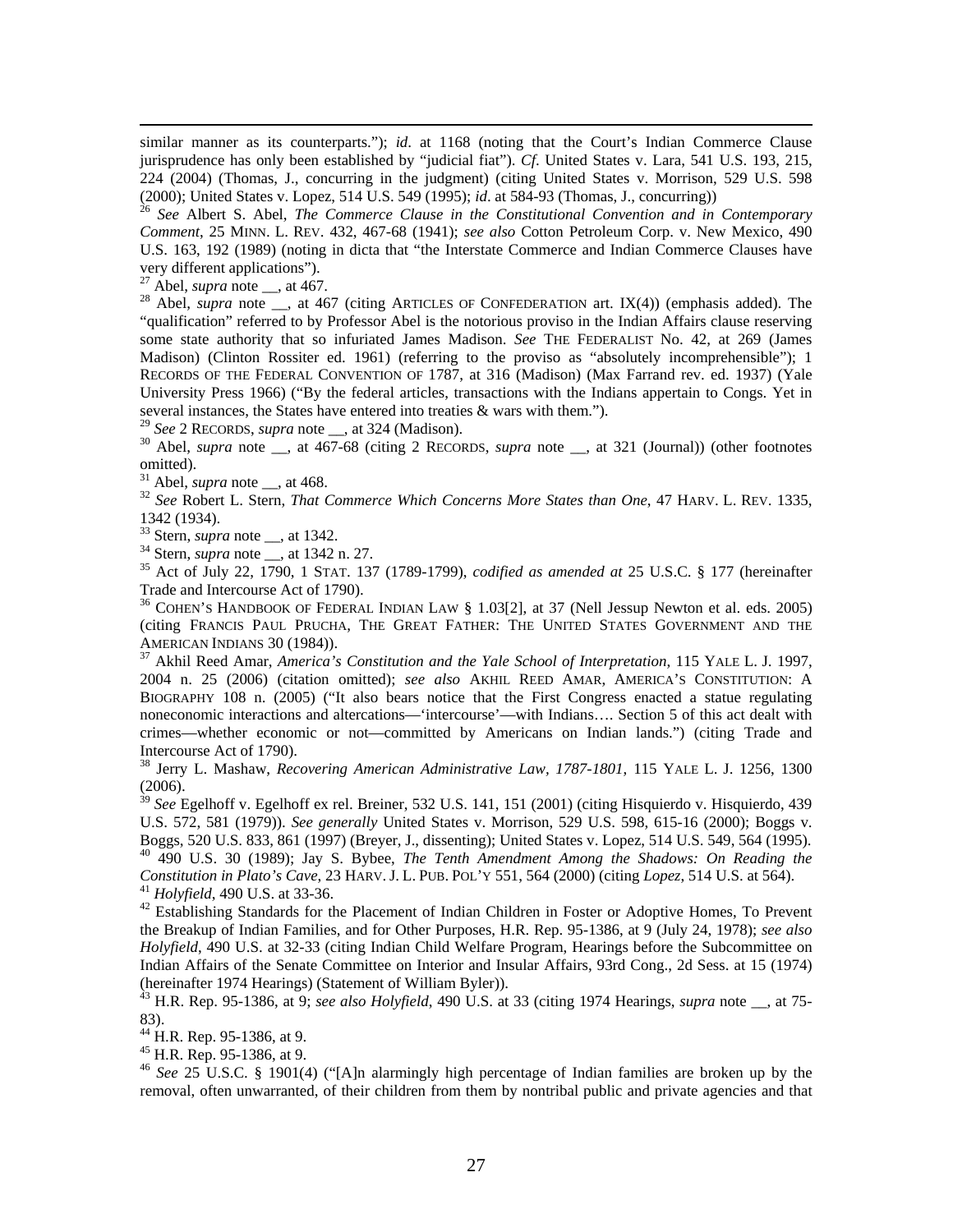similar manner as its counterparts."); *id*. at 1168 (noting that the Court's Indian Commerce Clause jurisprudence has only been established by "judicial fiat"). *Cf*. United States v. Lara, 541 U.S. 193, 215, 224 (2004) (Thomas, J., concurring in the judgment) (citing United States v. Morrison, 529 U.S. 598 (2000); United States v. Lopez, 514 U.S. 549 (1995); *id*. at 584-93 (Thomas, J., concurring)) 26 *See* Albert S. Abel, *The Commerce Clause in the Constitutional Convention and in Contemporary* 

*Comment*, 25 MINN. L. REV. 432, 467-68 (1941); *see also* Cotton Petroleum Corp. v. New Mexico, 490 U.S. 163, 192 (1989) (noting in dicta that "the Interstate Commerce and Indian Commerce Clauses have very different applications").<br> $^{27}$  Abel, *supra* note  $\_\_$ , at 467.

27 Abel, *supra* note \_\_, at 467. 28 Abel, *supra* note \_\_, at 467 (citing ARTICLES OF CONFEDERATION art. IX(4)) (emphasis added). The "qualification" referred to by Professor Abel is the notorious proviso in the Indian Affairs clause reserving some state authority that so infuriated James Madison. *See* THE FEDERALIST No. 42, at 269 (James Madison) (Clinton Rossiter ed. 1961) (referring to the proviso as "absolutely incomprehensible"); 1 RECORDS OF THE FEDERAL CONVENTION OF 1787, at 316 (Madison) (Max Farrand rev. ed. 1937) (Yale University Press 1966) ("By the federal articles, transactions with the Indians appertain to Congs. Yet in several instances, the States have entered into treaties & wars with them.").<br><sup>29</sup> See 2 RECORDS, *supra* note  $\_\_$ , at 324 (Madison).

<sup>30</sup> Abel, *supra* note \_\_, at  $\overline{467-68}$  (citing 2 RECORDS, *supra* note \_\_, at 321 (Journal)) (other footnotes omitted).<br> $31$  Abel, *supra* note \_\_, at 468.

<sup>32</sup> See Robert L. Stern, *That Commerce Which Concerns More States than One*, 47 HARV. L. REV. 1335, 1342 (1934).<br><sup>33</sup> Stern, *supra* note \_\_, at 1342.

<sup>34</sup> Stern, *supra* note \_\_, at 1342 n. 27.<br><sup>35</sup> Act of July 22, 1790, 1 STAT. 137 (1789-1799), *codified as amended at* 25 U.S.C. § 177 (hereinafter Trade and Intercourse Act of 1790).

36 COHEN'S HANDBOOK OF FEDERAL INDIAN LAW § 1.03[2], at 37 (Nell Jessup Newton et al. eds. 2005) (citing FRANCIS PAUL PRUCHA, THE GREAT FATHER: THE UNITED STATES GOVERNMENT AND THE AMERICAN INDIANS 30 (1984)). 37 Akhil Reed Amar, *America's Constitution and the Yale School of Interpretation*, 115 YALE L. J. 1997,

2004 n. 25 (2006) (citation omitted); *see also* AKHIL REED AMAR, AMERICA'S CONSTITUTION: A BIOGRAPHY 108 n. (2005) ("It also bears notice that the First Congress enacted a statue regulating noneconomic interactions and altercations—'intercourse'—with Indians…. Section 5 of this act dealt with crimes—whether economic or not—committed by Americans on Indian lands.") (citing Trade and Intercourse Act of 1790).

38 Jerry L. Mashaw, *Recovering American Administrative Law, 1787-1801*, 115 YALE L. J. 1256, 1300 (2006).

<sup>39</sup> See Egelhoff v. Egelhoff ex rel. Breiner, 532 U.S. 141, 151 (2001) (citing Hisquierdo v. Hisquierdo, 439 U.S. 572, 581 (1979)). *See generally* United States v. Morrison, 529 U.S. 598, 615-16 (2000); Boggs v. Boggs, 520 U.S. 833, 861 (1997) (Breyer, J., dissenting); United States v. Lopez, 514 U.S. 549, 564 (1995).<br><sup>40</sup> 490 U.S. 30 (1989); Jay S. Bybee, *The Tenth Amendment Among the Shadows: On Reading the Constitution in Plat* 

<sup>41</sup> Holyfield, 490 U.S. at 33-36.<br><sup>42</sup> Establishing Standards for the Placement of Indian Children in Foster or Adoptive Homes, To Prevent the Breakup of Indian Families, and for Other Purposes, H.R. Rep. 95-1386, at 9 (July 24, 1978); *see also Holyfield*, 490 U.S. at 32-33 (citing Indian Child Welfare Program, Hearings before the Subcommittee on Indian Affairs of the Senate Committee on Interior and Insular Affairs, 93rd Cong., 2d Sess. at 15 (1974) (hereinafter 1974 Hearings) (Statement of William Byler)).

 $^{43}$  H.R. Rep. 95-1386, at 9; *see also Holyfield*, 490 U.S. at 33 (citing 1974 Hearings, *supra* note \_\_, at 75-83).

 $^{44}$  H.R. Rep. 95-1386, at 9.

45 H.R. Rep. 95-1386, at 9.

<sup>46</sup> *See* 25 U.S.C. § 1901(4) ("[A]n alarmingly high percentage of Indian families are broken up by the removal, often unwarranted, of their children from them by nontribal public and private agencies and that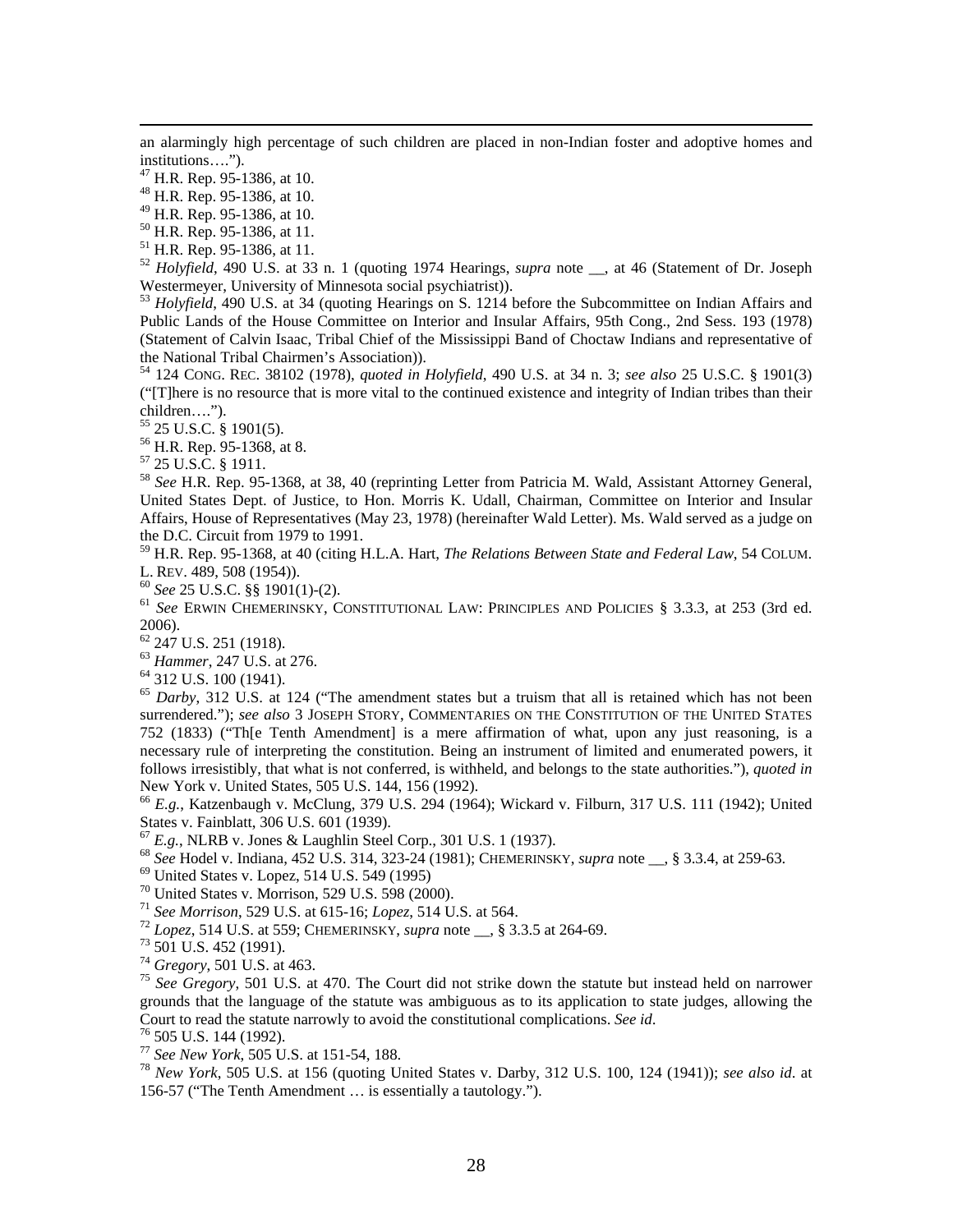an alarmingly high percentage of such children are placed in non-Indian foster and adoptive homes and institutions….").

47 H.R. Rep. 95-1386, at 10.

48 H.R. Rep. 95-1386, at 10.

49 H.R. Rep. 95-1386, at 10.

50 H.R. Rep. 95-1386, at 11.

51 H.R. Rep. 95-1386, at 11.

<sup>52</sup> *Holyfield*, 490 U.S. at 33 n. 1 (quoting 1974 Hearings, *supra* note <sub>\_\_</sub>, at 46 (Statement of Dr. Joseph Westermeyer, University of Minnesota social psychiatrist)).

 $^{53}$  *Holyfield*, 490 U.S. at 34 (quoting Hearings on S. 1214 before the Subcommittee on Indian Affairs and Public Lands of the House Committee on Interior and Insular Affairs, 95th Cong., 2nd Sess. 193 (1978) (Statement of Calvin Isaac, Tribal Chief of the Mississippi Band of Choctaw Indians and representative of the National Tribal Chairmen's Association)).

54 124 CONG. REC. 38102 (1978), *quoted in Holyfield*, 490 U.S. at 34 n. 3; *see also* 25 U.S.C. § 1901(3) ("[T]here is no resource that is more vital to the continued existence and integrity of Indian tribes than their children….").

55 25 U.S.C. § 1901(5).

56 H.R. Rep. 95-1368, at 8.

57 25 U.S.C. § 1911.

<sup>58</sup> *See* H.R. Rep. 95-1368, at 38, 40 (reprinting Letter from Patricia M. Wald, Assistant Attorney General, United States Dept. of Justice, to Hon. Morris K. Udall, Chairman, Committee on Interior and Insular Affairs, House of Representatives (May 23, 1978) (hereinafter Wald Letter). Ms. Wald served as a judge on the D.C. Circuit from 1979 to 1991.

59 H.R. Rep. 95-1368, at 40 (citing H.L.A. Hart, *The Relations Between State and Federal Law*, 54 COLUM. L. REV. 489, 508 (1954)).<br><sup>60</sup> See 25 U.S.C. §§ 1901(1)-(2).<br><sup>61</sup> See ERWIN CHEMERINSKY, CONSTITUTIONAL LAW: PRINCIPLES AND POLICIES § 3.3.3, at 253 (3rd ed.

2006).

62 247 U.S. 251 (1918).

<sup>63</sup> *Hammer*, 247 U.S. at 276. 64 312 U.S. 100 (1941).

<sup>65</sup> *Darby*, 312 U.S. at 124 ("The amendment states but a truism that all is retained which has not been surrendered."); *see also* 3 JOSEPH STORY, COMMENTARIES ON THE CONSTITUTION OF THE UNITED STATES 752 (1833) ("Th[e Tenth Amendment] is a mere affirmation of what, upon any just reasoning, is a necessary rule of interpreting the constitution. Being an instrument of limited and enumerated powers, it follows irresistibly, that what is not conferred, is withheld, and belongs to the state authorities."), *quoted in* New York v. United States, 505 U.S. 144, 156 (1992).

<sup>66</sup> *E.g.*, Katzenbaugh v. McClung, 379 U.S. 294 (1964); Wickard v. Filburn, 317 U.S. 111 (1942); United States v. Fainblatt, 306 U.S. 601 (1939).<br><sup>67</sup> E.g., NLRB v. Jones & Laughlin Steel Corp., 301 U.S. 1 (1937).

<sup>68</sup> See Hodel v. Indiana, 452 U.S. 314, 323-24 (1981); CHEMERINSKY, *supra* note \_\_, § 3.3.4, at 259-63.<br><sup>69</sup> United States v. Lopez, 514 U.S. 549 (1995)

70 United States v. Morrison, 529 U.S. 598 (2000).

<sup>71</sup> *See Morrison*, 529 U.S. at 615-16; *Lopez*, 514 U.S. at 564. 72 *Lopez*, 514 U.S. at 559; CHEMERINSKY, *supra* note \_\_, § 3.3.5 at 264-69. 73 501 U.S. 452 (1991).

 $^{75}$  *See Gregory*, 501 U.S. at 470. The Court did not strike down the statute but instead held on narrower grounds that the language of the statute was ambiguous as to its application to state judges, allowing the Court to read the statute narrowly to avoid the constitutional complications. *See id.* <sup>76</sup> 505 U.S. 144 (1992).<br><sup>77</sup> *See New York*, 505 U.S. at 151-54, 188.

<sup>77</sup> *See New York*, 505 U.S. at 151-54, 188. 78 *New York*, 505 U.S. at 156 (quoting United States v. Darby, 312 U.S. 100, 124 (1941)); *see also id*. at 156-57 ("The Tenth Amendment … is essentially a tautology.").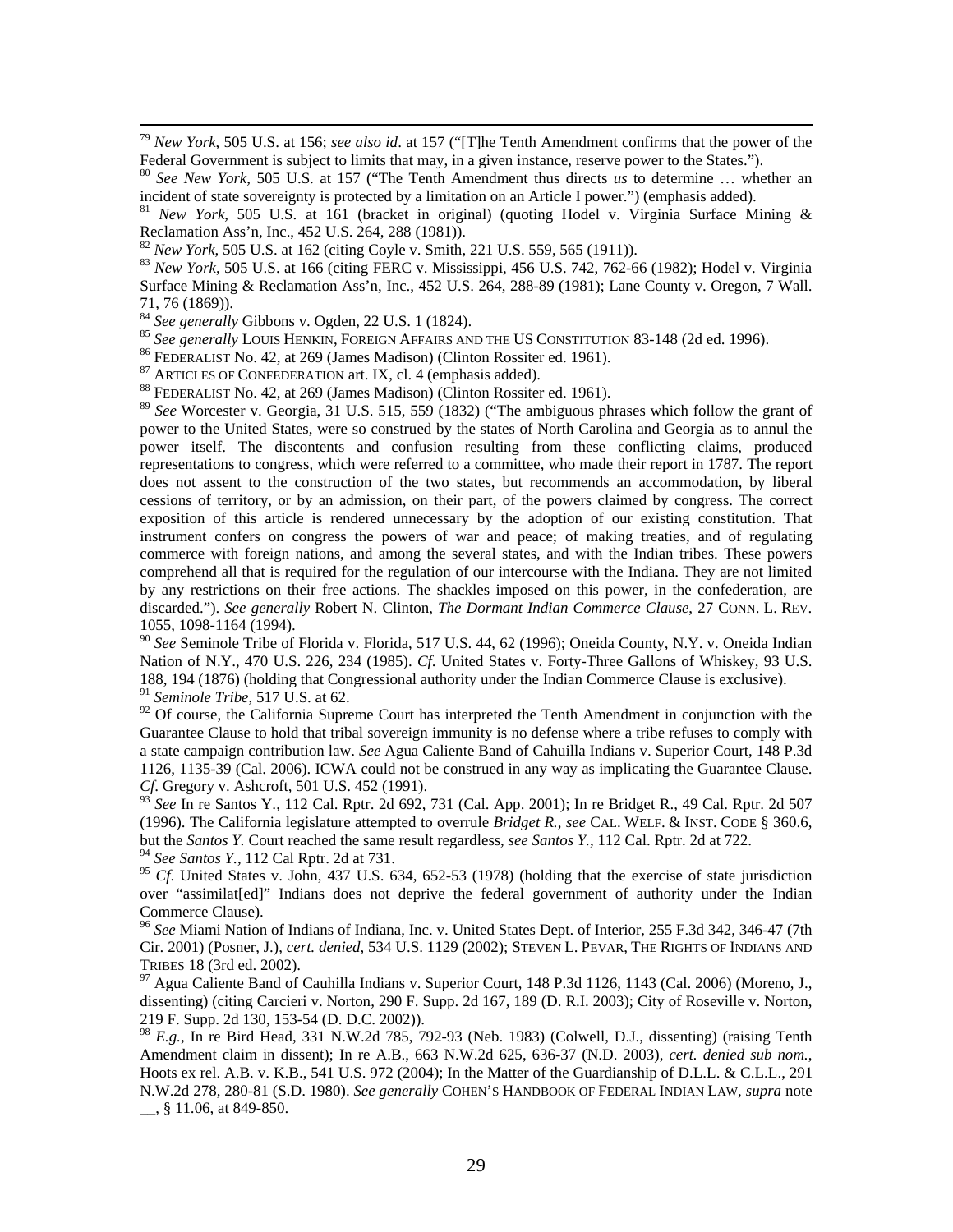79 *New York*, 505 U.S. at 156; *see also id*. at 157 ("[T]he Tenth Amendment confirms that the power of the Federal Government is subject to limits that may, in a given instance, reserve power to the States.").<br><sup>80</sup> *See New York*, 505 U.S. at 157 ("The Tenth Amendment thus directs *us* to determine ... whether an

incident of state sovereignty is protected by a limitation on an Article I power.") (emphasis added).

<sup>81</sup> *New York*, 505 U.S. at 161 (bracket in original) (quoting Hodel v. Virginia Surface Mining & Reclamation Ass'n, Inc., 452 U.S. 264, 288 (1981)).<br><sup>82</sup> New York, 505 U.S. at 162 (citing Coyle v. Smith, 221 U.S. 559, 565 (1911)).

<sup>83</sup> *New York*, 505 U.S. at 166 (citing FERC v. Mississippi, 456 U.S. 742, 762-66 (1982); Hodel v. Virginia Surface Mining & Reclamation Ass'n, Inc., 452 U.S. 264, 288-89 (1981); Lane County v. Oregon, 7 Wall.

71, 76 (1869)).<br><sup>84</sup> See generally Gibbons v. Ogden, 22 U.S. 1 (1824).

<sup>85</sup> See generally LOUIS HENKIN, FOREIGN AFFAIRS AND THE US CONSTITUTION 83-148 (2d ed. 1996).<br><sup>86</sup> FEDERALIST No. 42, at 269 (James Madison) (Clinton Rossiter ed. 1961).<br><sup>87</sup> ARTICLES OF CONFEDERATION art. IX, cl. 4 (emp

<sup>89</sup> *See* Worcester v. Georgia, 31 U.S. 515, 559 (1832) ("The ambiguous phrases which follow the grant of power to the United States, were so construed by the states of North Carolina and Georgia as to annul the power itself. The discontents and confusion resulting from these conflicting claims, produced representations to congress, which were referred to a committee, who made their report in 1787. The report does not assent to the construction of the two states, but recommends an accommodation, by liberal cessions of territory, or by an admission, on their part, of the powers claimed by congress. The correct exposition of this article is rendered unnecessary by the adoption of our existing constitution. That instrument confers on congress the powers of war and peace; of making treaties, and of regulating commerce with foreign nations, and among the several states, and with the Indian tribes. These powers comprehend all that is required for the regulation of our intercourse with the Indiana. They are not limited by any restrictions on their free actions. The shackles imposed on this power, in the confederation, are discarded."). *See generally* Robert N. Clinton, *The Dormant Indian Commerce Clause*, 27 CONN. L. REV. 1055, 1098-1164 (1994).

<sup>90</sup> *See* Seminole Tribe of Florida v. Florida, 517 U.S. 44, 62 (1996); Oneida County, N.Y. v. Oneida Indian Nation of N.Y., 470 U.S. 226, 234 (1985). *Cf*. United States v. Forty-Three Gallons of Whiskey, 93 U.S. 188, 194 (1876) (holding that Congressional authority under the Indian Commerce Clause is exclusive). <sup>91</sup> *Seminole Tribe*, 517 U.S. at 62.

 $92$  Of course, the California Supreme Court has interpreted the Tenth Amendment in conjunction with the Guarantee Clause to hold that tribal sovereign immunity is no defense where a tribe refuses to comply with a state campaign contribution law. *See* Agua Caliente Band of Cahuilla Indians v. Superior Court, 148 P.3d 1126, 1135-39 (Cal. 2006). ICWA could not be construed in any way as implicating the Guarantee Clause. *Cf.* Gregory v. Ashcroft, 501 U.S. 452 (1991).

<sup>93</sup> *See* In re Santos Y., 112 Cal. Rptr. 2d 692, 731 (Cal. App. 2001); In re Bridget R., 49 Cal. Rptr. 2d 507 (1996). The California legislature attempted to overrule *Bridget R.*, *see* CAL. WELF. & INST. CODE § 360.6, but the *Santos Y.* Court reached the same result regardless, *see Santos Y.*, 112 Cal. Rptr. 2d at 722.

<sup>94</sup> *See Santos Y.*, 112 Cal Rptr. 2d at 731.

<sup>95</sup> *Cf*. United States v. John, 437 U.S. 634, 652-53 (1978) (holding that the exercise of state jurisdiction over "assimilat[ed]" Indians does not deprive the federal government of authority under the Indian Commerce Clause).

<sup>96</sup> *See* Miami Nation of Indians of Indiana, Inc. v. United States Dept. of Interior, 255 F.3d 342, 346-47 (7th Cir. 2001) (Posner, J.), *cert. denied*, 534 U.S. 1129 (2002); STEVEN L. PEVAR, THE RIGHTS OF INDIANS AND TRIBES 18 (3rd ed. 2002).<br><sup>97</sup> Agua Caliente Band of Cauhilla Indians v. Superior Court, 148 P.3d 1126, 1143 (Cal. 2006) (Moreno, J.,

dissenting) (citing Carcieri v. Norton, 290 F. Supp. 2d 167, 189 (D. R.I. 2003); City of Roseville v. Norton, 219 F. Supp. 2d 130, 153-54 (D. D.C. 2002)).

<sup>98</sup> *E.g.*, In re Bird Head, 331 N.W.2d 785, 792-93 (Neb. 1983) (Colwell, D.J., dissenting) (raising Tenth Amendment claim in dissent); In re A.B., 663 N.W.2d 625, 636-37 (N.D. 2003), *cert. denied sub nom.*, Hoots ex rel. A.B. v. K.B., 541 U.S. 972 (2004); In the Matter of the Guardianship of D.L.L. & C.L.L., 291 N.W.2d 278, 280-81 (S.D. 1980). *See generally* COHEN'S HANDBOOK OF FEDERAL INDIAN LAW, *supra* note \_\_, § 11.06, at 849-850.